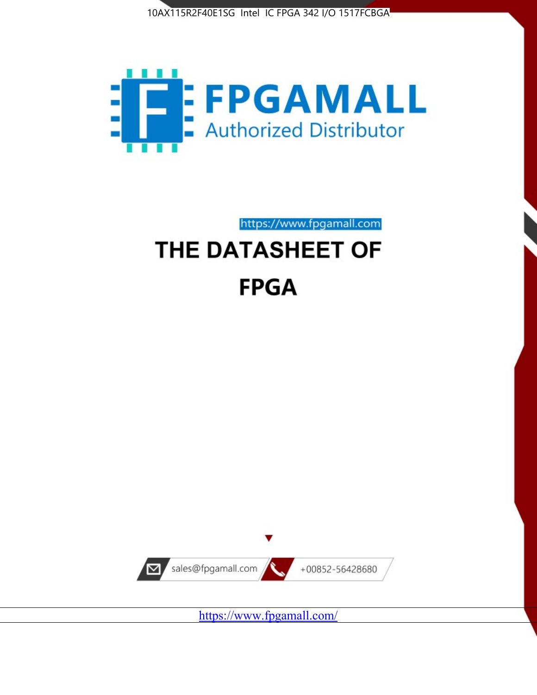



https://www.fpgamall.com

# THE DATASHEET OF **FPGA**



<https://www.fpgamall.com/>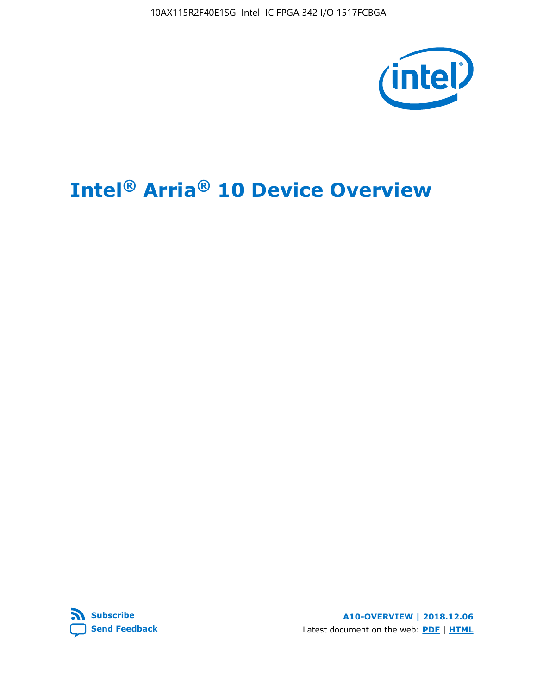10AX115R2F40E1SG Intel IC FPGA 342 I/O 1517FCBGA



# **Intel® Arria® 10 Device Overview**



**A10-OVERVIEW | 2018.12.06** Latest document on the web: **[PDF](https://www.intel.com/content/dam/www/programmable/us/en/pdfs/literature/hb/arria-10/a10_overview.pdf)** | **[HTML](https://www.intel.com/content/www/us/en/programmable/documentation/sam1403480274650.html)**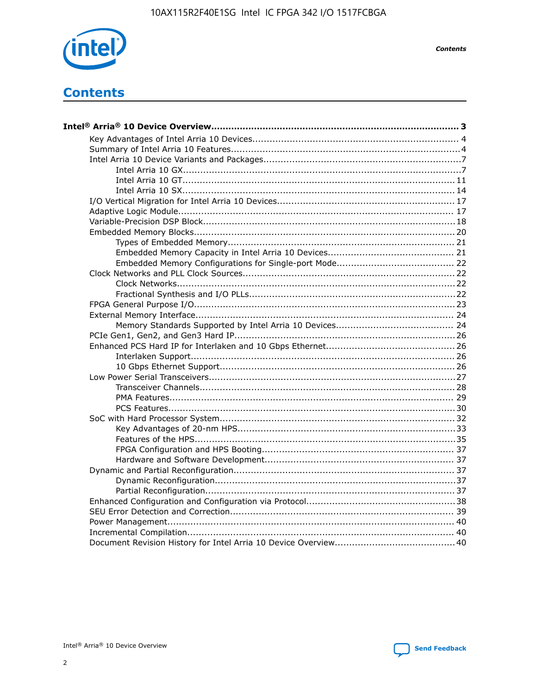

**Contents** 

# **Contents**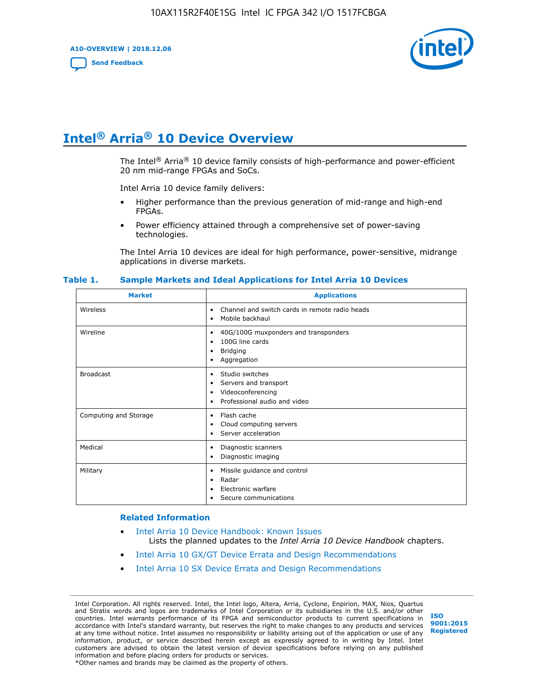**A10-OVERVIEW | 2018.12.06**

**[Send Feedback](mailto:FPGAtechdocfeedback@intel.com?subject=Feedback%20on%20Intel%20Arria%2010%20Device%20Overview%20(A10-OVERVIEW%202018.12.06)&body=We%20appreciate%20your%20feedback.%20In%20your%20comments,%20also%20specify%20the%20page%20number%20or%20paragraph.%20Thank%20you.)**



# **Intel® Arria® 10 Device Overview**

The Intel<sup>®</sup> Arria<sup>®</sup> 10 device family consists of high-performance and power-efficient 20 nm mid-range FPGAs and SoCs.

Intel Arria 10 device family delivers:

- Higher performance than the previous generation of mid-range and high-end FPGAs.
- Power efficiency attained through a comprehensive set of power-saving technologies.

The Intel Arria 10 devices are ideal for high performance, power-sensitive, midrange applications in diverse markets.

| <b>Market</b>         | <b>Applications</b>                                                                                               |
|-----------------------|-------------------------------------------------------------------------------------------------------------------|
| Wireless              | Channel and switch cards in remote radio heads<br>٠<br>Mobile backhaul<br>٠                                       |
| Wireline              | 40G/100G muxponders and transponders<br>٠<br>100G line cards<br>٠<br><b>Bridging</b><br>٠<br>Aggregation<br>٠     |
| <b>Broadcast</b>      | Studio switches<br>٠<br>Servers and transport<br>٠<br>Videoconferencing<br>٠<br>Professional audio and video<br>٠ |
| Computing and Storage | Flash cache<br>٠<br>Cloud computing servers<br>٠<br>Server acceleration<br>٠                                      |
| Medical               | Diagnostic scanners<br>٠<br>Diagnostic imaging<br>٠                                                               |
| Military              | Missile guidance and control<br>٠<br>Radar<br>٠<br>Electronic warfare<br>٠<br>Secure communications<br>٠          |

#### **Table 1. Sample Markets and Ideal Applications for Intel Arria 10 Devices**

#### **Related Information**

- [Intel Arria 10 Device Handbook: Known Issues](http://www.altera.com/support/kdb/solutions/rd07302013_646.html) Lists the planned updates to the *Intel Arria 10 Device Handbook* chapters.
- [Intel Arria 10 GX/GT Device Errata and Design Recommendations](https://www.intel.com/content/www/us/en/programmable/documentation/agz1493851706374.html#yqz1494433888646)
- [Intel Arria 10 SX Device Errata and Design Recommendations](https://www.intel.com/content/www/us/en/programmable/documentation/cru1462832385668.html#cru1462832558642)

Intel Corporation. All rights reserved. Intel, the Intel logo, Altera, Arria, Cyclone, Enpirion, MAX, Nios, Quartus and Stratix words and logos are trademarks of Intel Corporation or its subsidiaries in the U.S. and/or other countries. Intel warrants performance of its FPGA and semiconductor products to current specifications in accordance with Intel's standard warranty, but reserves the right to make changes to any products and services at any time without notice. Intel assumes no responsibility or liability arising out of the application or use of any information, product, or service described herein except as expressly agreed to in writing by Intel. Intel customers are advised to obtain the latest version of device specifications before relying on any published information and before placing orders for products or services. \*Other names and brands may be claimed as the property of others.

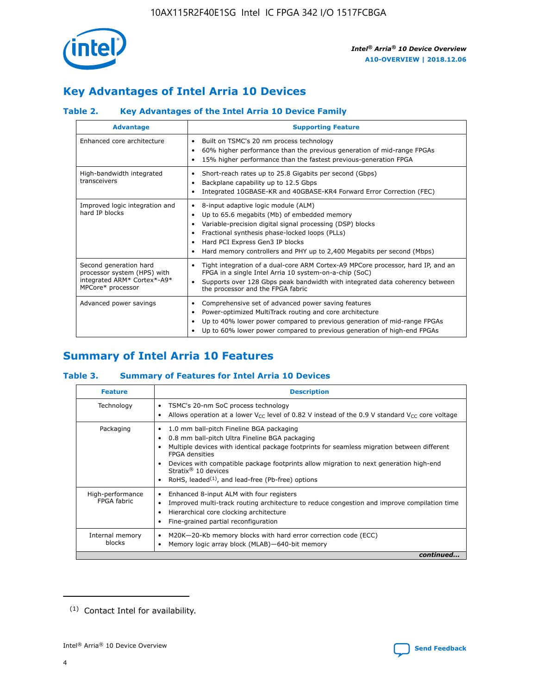

# **Key Advantages of Intel Arria 10 Devices**

# **Table 2. Key Advantages of the Intel Arria 10 Device Family**

| <b>Advantage</b>                                                                                          | <b>Supporting Feature</b>                                                                                                                                                                                                                                                                                                |  |  |  |  |  |
|-----------------------------------------------------------------------------------------------------------|--------------------------------------------------------------------------------------------------------------------------------------------------------------------------------------------------------------------------------------------------------------------------------------------------------------------------|--|--|--|--|--|
| Enhanced core architecture                                                                                | Built on TSMC's 20 nm process technology<br>٠<br>60% higher performance than the previous generation of mid-range FPGAs<br>٠<br>15% higher performance than the fastest previous-generation FPGA<br>٠                                                                                                                    |  |  |  |  |  |
| High-bandwidth integrated<br>transceivers                                                                 | Short-reach rates up to 25.8 Gigabits per second (Gbps)<br>٠<br>Backplane capability up to 12.5 Gbps<br>٠<br>Integrated 10GBASE-KR and 40GBASE-KR4 Forward Error Correction (FEC)<br>٠                                                                                                                                   |  |  |  |  |  |
| Improved logic integration and<br>hard IP blocks                                                          | 8-input adaptive logic module (ALM)<br>٠<br>Up to 65.6 megabits (Mb) of embedded memory<br>٠<br>Variable-precision digital signal processing (DSP) blocks<br>Fractional synthesis phase-locked loops (PLLs)<br>Hard PCI Express Gen3 IP blocks<br>Hard memory controllers and PHY up to 2,400 Megabits per second (Mbps) |  |  |  |  |  |
| Second generation hard<br>processor system (HPS) with<br>integrated ARM* Cortex*-A9*<br>MPCore* processor | Tight integration of a dual-core ARM Cortex-A9 MPCore processor, hard IP, and an<br>٠<br>FPGA in a single Intel Arria 10 system-on-a-chip (SoC)<br>Supports over 128 Gbps peak bandwidth with integrated data coherency between<br>$\bullet$<br>the processor and the FPGA fabric                                        |  |  |  |  |  |
| Advanced power savings                                                                                    | Comprehensive set of advanced power saving features<br>٠<br>Power-optimized MultiTrack routing and core architecture<br>٠<br>Up to 40% lower power compared to previous generation of mid-range FPGAs<br>٠<br>Up to 60% lower power compared to previous generation of high-end FPGAs                                    |  |  |  |  |  |

# **Summary of Intel Arria 10 Features**

## **Table 3. Summary of Features for Intel Arria 10 Devices**

| <b>Feature</b>                  | <b>Description</b>                                                                                                                                                                                                                                                                                                                                                                                           |
|---------------------------------|--------------------------------------------------------------------------------------------------------------------------------------------------------------------------------------------------------------------------------------------------------------------------------------------------------------------------------------------------------------------------------------------------------------|
| Technology                      | TSMC's 20-nm SoC process technology<br>Allows operation at a lower $V_{\text{CC}}$ level of 0.82 V instead of the 0.9 V standard $V_{\text{CC}}$ core voltage                                                                                                                                                                                                                                                |
| Packaging                       | 1.0 mm ball-pitch Fineline BGA packaging<br>٠<br>0.8 mm ball-pitch Ultra Fineline BGA packaging<br>Multiple devices with identical package footprints for seamless migration between different<br><b>FPGA</b> densities<br>Devices with compatible package footprints allow migration to next generation high-end<br>Stratix <sup>®</sup> 10 devices<br>RoHS, leaded $(1)$ , and lead-free (Pb-free) options |
| High-performance<br>FPGA fabric | Enhanced 8-input ALM with four registers<br>Improved multi-track routing architecture to reduce congestion and improve compilation time<br>Hierarchical core clocking architecture<br>Fine-grained partial reconfiguration                                                                                                                                                                                   |
| Internal memory<br>blocks       | M20K-20-Kb memory blocks with hard error correction code (ECC)<br>Memory logic array block (MLAB)-640-bit memory                                                                                                                                                                                                                                                                                             |
|                                 | continued                                                                                                                                                                                                                                                                                                                                                                                                    |



<sup>(1)</sup> Contact Intel for availability.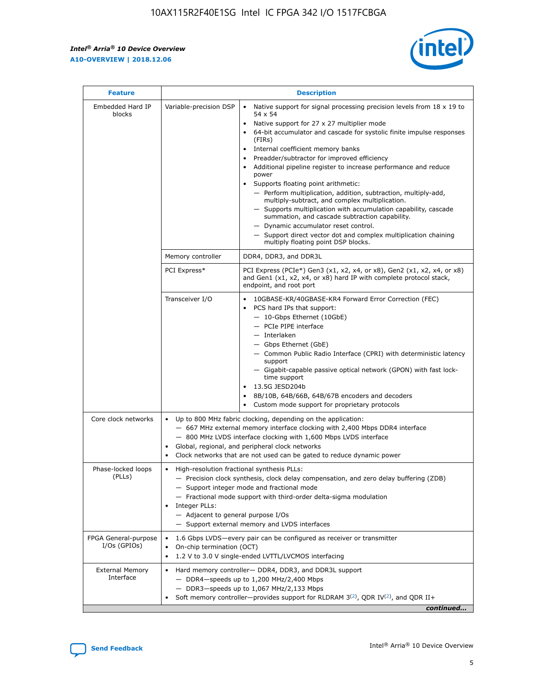$\mathbf{r}$ 



| <b>Feature</b>                         | <b>Description</b>                                                                                             |                                                                                                                                                                                                                                                                                                                                                                                                                                                                                                                                                                                                                                                                                                                                                                                                                                                                  |  |  |  |  |  |  |
|----------------------------------------|----------------------------------------------------------------------------------------------------------------|------------------------------------------------------------------------------------------------------------------------------------------------------------------------------------------------------------------------------------------------------------------------------------------------------------------------------------------------------------------------------------------------------------------------------------------------------------------------------------------------------------------------------------------------------------------------------------------------------------------------------------------------------------------------------------------------------------------------------------------------------------------------------------------------------------------------------------------------------------------|--|--|--|--|--|--|
| Embedded Hard IP<br>blocks             | Variable-precision DSP                                                                                         | Native support for signal processing precision levels from $18 \times 19$ to<br>$\bullet$<br>54 x 54<br>Native support for 27 x 27 multiplier mode<br>$\bullet$<br>64-bit accumulator and cascade for systolic finite impulse responses<br>(FIRs)<br>Internal coefficient memory banks<br>$\bullet$<br>Preadder/subtractor for improved efficiency<br>Additional pipeline register to increase performance and reduce<br>power<br>Supports floating point arithmetic:<br>- Perform multiplication, addition, subtraction, multiply-add,<br>multiply-subtract, and complex multiplication.<br>- Supports multiplication with accumulation capability, cascade<br>summation, and cascade subtraction capability.<br>- Dynamic accumulator reset control.<br>- Support direct vector dot and complex multiplication chaining<br>multiply floating point DSP blocks. |  |  |  |  |  |  |
|                                        | Memory controller                                                                                              | DDR4, DDR3, and DDR3L                                                                                                                                                                                                                                                                                                                                                                                                                                                                                                                                                                                                                                                                                                                                                                                                                                            |  |  |  |  |  |  |
|                                        | PCI Express*                                                                                                   | PCI Express (PCIe*) Gen3 (x1, x2, x4, or x8), Gen2 (x1, x2, x4, or x8)<br>and Gen1 (x1, x2, x4, or x8) hard IP with complete protocol stack,<br>endpoint, and root port                                                                                                                                                                                                                                                                                                                                                                                                                                                                                                                                                                                                                                                                                          |  |  |  |  |  |  |
|                                        | Transceiver I/O                                                                                                | 10GBASE-KR/40GBASE-KR4 Forward Error Correction (FEC)<br>PCS hard IPs that support:<br>- 10-Gbps Ethernet (10GbE)<br>- PCIe PIPE interface<br>- Interlaken<br>- Gbps Ethernet (GbE)<br>- Common Public Radio Interface (CPRI) with deterministic latency<br>support<br>- Gigabit-capable passive optical network (GPON) with fast lock-<br>time support<br>13.5G JESD204b<br>$\bullet$<br>8B/10B, 64B/66B, 64B/67B encoders and decoders<br>Custom mode support for proprietary protocols                                                                                                                                                                                                                                                                                                                                                                        |  |  |  |  |  |  |
| Core clock networks                    | $\bullet$                                                                                                      | Up to 800 MHz fabric clocking, depending on the application:<br>- 667 MHz external memory interface clocking with 2,400 Mbps DDR4 interface<br>- 800 MHz LVDS interface clocking with 1,600 Mbps LVDS interface<br>Global, regional, and peripheral clock networks<br>Clock networks that are not used can be gated to reduce dynamic power                                                                                                                                                                                                                                                                                                                                                                                                                                                                                                                      |  |  |  |  |  |  |
| Phase-locked loops<br>(PLLs)           | High-resolution fractional synthesis PLLs:<br>$\bullet$<br>Integer PLLs:<br>- Adjacent to general purpose I/Os | - Precision clock synthesis, clock delay compensation, and zero delay buffering (ZDB)<br>- Support integer mode and fractional mode<br>- Fractional mode support with third-order delta-sigma modulation<br>- Support external memory and LVDS interfaces                                                                                                                                                                                                                                                                                                                                                                                                                                                                                                                                                                                                        |  |  |  |  |  |  |
| FPGA General-purpose<br>$I/Os$ (GPIOs) | On-chip termination (OCT)<br>$\bullet$                                                                         | 1.6 Gbps LVDS-every pair can be configured as receiver or transmitter                                                                                                                                                                                                                                                                                                                                                                                                                                                                                                                                                                                                                                                                                                                                                                                            |  |  |  |  |  |  |
| <b>External Memory</b><br>Interface    | $\bullet$                                                                                                      | 1.2 V to 3.0 V single-ended LVTTL/LVCMOS interfacing<br>Hard memory controller- DDR4, DDR3, and DDR3L support<br>$-$ DDR4-speeds up to 1,200 MHz/2,400 Mbps<br>- DDR3-speeds up to 1,067 MHz/2,133 Mbps<br>Soft memory controller—provides support for RLDRAM $3^{(2)}$ , QDR IV $^{(2)}$ , and QDR II+<br>continued                                                                                                                                                                                                                                                                                                                                                                                                                                                                                                                                             |  |  |  |  |  |  |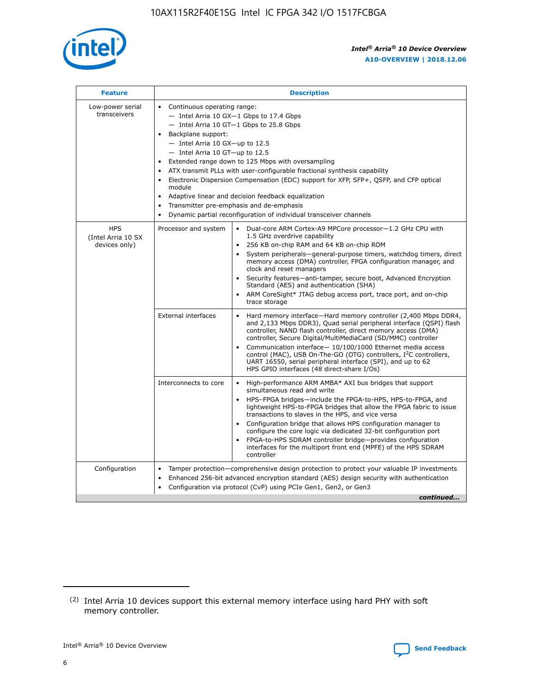

| <b>Feature</b>                                    | <b>Description</b>                                                                                                                                                                                                                                                                                                                                                                                                                                                                                                                                                                                                                             |  |  |  |  |  |  |  |  |
|---------------------------------------------------|------------------------------------------------------------------------------------------------------------------------------------------------------------------------------------------------------------------------------------------------------------------------------------------------------------------------------------------------------------------------------------------------------------------------------------------------------------------------------------------------------------------------------------------------------------------------------------------------------------------------------------------------|--|--|--|--|--|--|--|--|
| Low-power serial<br>transceivers                  | • Continuous operating range:<br>- Intel Arria 10 GX-1 Gbps to 17.4 Gbps<br>- Intel Arria 10 GT-1 Gbps to 25.8 Gbps<br>Backplane support:<br>$-$ Intel Arria 10 GX-up to 12.5<br>$-$ Intel Arria 10 GT-up to 12.5<br>Extended range down to 125 Mbps with oversampling<br>ATX transmit PLLs with user-configurable fractional synthesis capability<br>• Electronic Dispersion Compensation (EDC) support for XFP, SFP+, QSFP, and CFP optical<br>module<br>• Adaptive linear and decision feedback equalization<br>Transmitter pre-emphasis and de-emphasis<br>$\bullet$<br>Dynamic partial reconfiguration of individual transceiver channels |  |  |  |  |  |  |  |  |
| <b>HPS</b><br>(Intel Arria 10 SX<br>devices only) | Processor and system<br>Dual-core ARM Cortex-A9 MPCore processor-1.2 GHz CPU with<br>$\bullet$<br>1.5 GHz overdrive capability<br>256 KB on-chip RAM and 64 KB on-chip ROM<br>$\bullet$<br>System peripherals-general-purpose timers, watchdog timers, direct<br>memory access (DMA) controller, FPGA configuration manager, and<br>clock and reset managers<br>• Security features—anti-tamper, secure boot, Advanced Encryption<br>Standard (AES) and authentication (SHA)<br>ARM CoreSight* JTAG debug access port, trace port, and on-chip<br>trace storage                                                                                |  |  |  |  |  |  |  |  |
|                                                   | <b>External interfaces</b><br>Hard memory interface—Hard memory controller (2,400 Mbps DDR4,<br>$\bullet$<br>and 2,133 Mbps DDR3), Quad serial peripheral interface (QSPI) flash<br>controller, NAND flash controller, direct memory access (DMA)<br>controller, Secure Digital/MultiMediaCard (SD/MMC) controller<br>Communication interface-10/100/1000 Ethernet media access<br>control (MAC), USB On-The-GO (OTG) controllers, I <sup>2</sup> C controllers,<br>UART 16550, serial peripheral interface (SPI), and up to 62<br>HPS GPIO interfaces (48 direct-share I/Os)                                                                  |  |  |  |  |  |  |  |  |
|                                                   | High-performance ARM AMBA* AXI bus bridges that support<br>Interconnects to core<br>$\bullet$<br>simultaneous read and write<br>HPS-FPGA bridges—include the FPGA-to-HPS, HPS-to-FPGA, and<br>$\bullet$<br>lightweight HPS-to-FPGA bridges that allow the FPGA fabric to issue<br>transactions to slaves in the HPS, and vice versa<br>Configuration bridge that allows HPS configuration manager to<br>configure the core logic via dedicated 32-bit configuration port<br>FPGA-to-HPS SDRAM controller bridge-provides configuration<br>interfaces for the multiport front end (MPFE) of the HPS SDRAM<br>controller                         |  |  |  |  |  |  |  |  |
| Configuration                                     | Tamper protection—comprehensive design protection to protect your valuable IP investments<br>Enhanced 256-bit advanced encryption standard (AES) design security with authentication<br>$\bullet$<br>Configuration via protocol (CvP) using PCIe Gen1, Gen2, or Gen3<br>continued                                                                                                                                                                                                                                                                                                                                                              |  |  |  |  |  |  |  |  |

<sup>(2)</sup> Intel Arria 10 devices support this external memory interface using hard PHY with soft memory controller.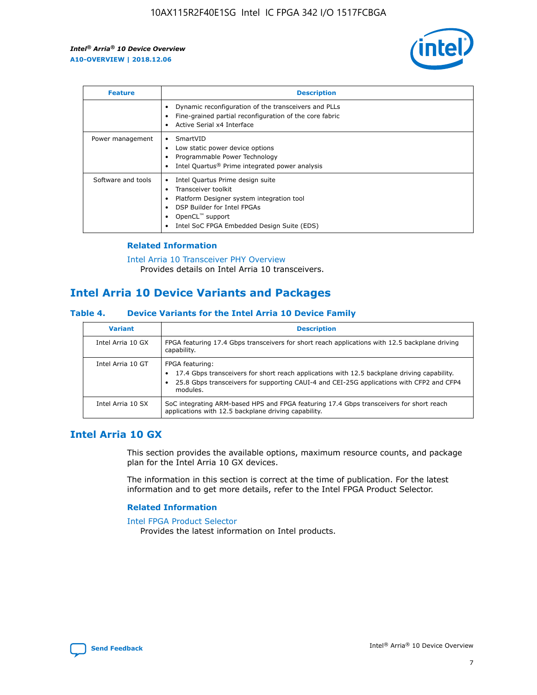

| <b>Feature</b>     | <b>Description</b>                                                                                                                                                                                               |
|--------------------|------------------------------------------------------------------------------------------------------------------------------------------------------------------------------------------------------------------|
|                    | Dynamic reconfiguration of the transceivers and PLLs<br>Fine-grained partial reconfiguration of the core fabric<br>Active Serial x4 Interface<br>$\bullet$                                                       |
| Power management   | SmartVID<br>$\bullet$<br>Low static power device options<br>Programmable Power Technology<br>Intel Quartus <sup>®</sup> Prime integrated power analysis                                                          |
| Software and tools | Intel Quartus Prime design suite<br>Transceiver toolkit<br>Platform Designer system integration tool<br>DSP Builder for Intel FPGAs<br>OpenCL <sup>™</sup> support<br>Intel SoC FPGA Embedded Design Suite (EDS) |

## **Related Information**

[Intel Arria 10 Transceiver PHY Overview](https://www.intel.com/content/www/us/en/programmable/documentation/nik1398707230472.html#nik1398706768037) Provides details on Intel Arria 10 transceivers.

# **Intel Arria 10 Device Variants and Packages**

#### **Table 4. Device Variants for the Intel Arria 10 Device Family**

| <b>Variant</b>    | <b>Description</b>                                                                                                                                                                                                     |
|-------------------|------------------------------------------------------------------------------------------------------------------------------------------------------------------------------------------------------------------------|
| Intel Arria 10 GX | FPGA featuring 17.4 Gbps transceivers for short reach applications with 12.5 backplane driving<br>capability.                                                                                                          |
| Intel Arria 10 GT | FPGA featuring:<br>17.4 Gbps transceivers for short reach applications with 12.5 backplane driving capability.<br>25.8 Gbps transceivers for supporting CAUI-4 and CEI-25G applications with CFP2 and CFP4<br>modules. |
| Intel Arria 10 SX | SoC integrating ARM-based HPS and FPGA featuring 17.4 Gbps transceivers for short reach<br>applications with 12.5 backplane driving capability.                                                                        |

# **Intel Arria 10 GX**

This section provides the available options, maximum resource counts, and package plan for the Intel Arria 10 GX devices.

The information in this section is correct at the time of publication. For the latest information and to get more details, refer to the Intel FPGA Product Selector.

#### **Related Information**

#### [Intel FPGA Product Selector](http://www.altera.com/products/selector/psg-selector.html) Provides the latest information on Intel products.

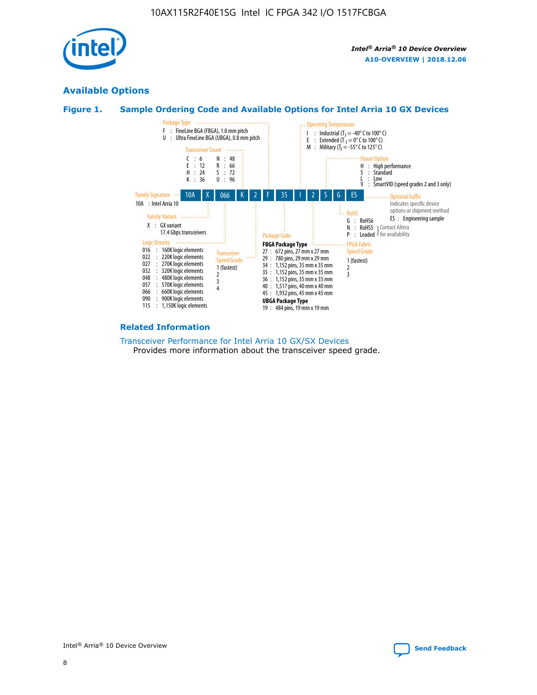

# **Available Options**





#### **Related Information**

[Transceiver Performance for Intel Arria 10 GX/SX Devices](https://www.intel.com/content/www/us/en/programmable/documentation/mcn1413182292568.html#mcn1413213965502) Provides more information about the transceiver speed grade.

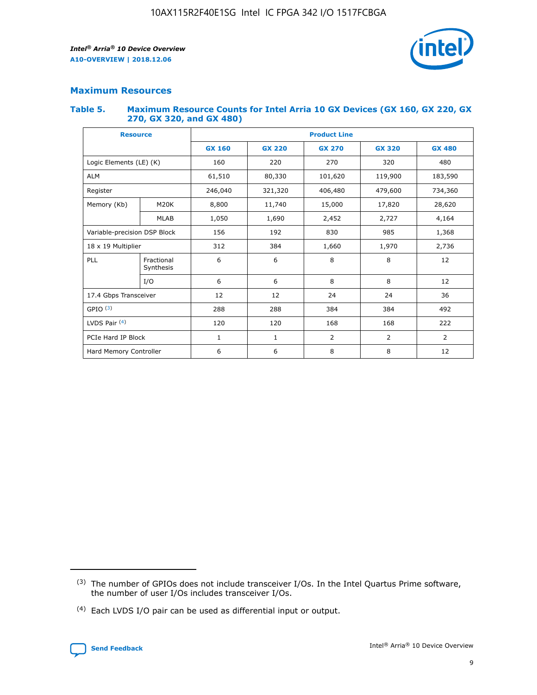

## **Maximum Resources**

#### **Table 5. Maximum Resource Counts for Intel Arria 10 GX Devices (GX 160, GX 220, GX 270, GX 320, and GX 480)**

| <b>Resource</b>              |                         | <b>Product Line</b> |                                                 |                |                |                |  |  |  |
|------------------------------|-------------------------|---------------------|-------------------------------------------------|----------------|----------------|----------------|--|--|--|
|                              |                         | <b>GX 160</b>       | <b>GX 220</b><br><b>GX 270</b><br><b>GX 320</b> |                |                | <b>GX 480</b>  |  |  |  |
| Logic Elements (LE) (K)      |                         | 160                 | 220                                             | 270            | 320            | 480            |  |  |  |
| <b>ALM</b>                   |                         | 61,510              | 80,330                                          | 101,620        | 119,900        | 183,590        |  |  |  |
| Register                     |                         | 246,040             | 406,480<br>321,320                              |                | 479,600        | 734,360        |  |  |  |
| Memory (Kb)                  | M <sub>20</sub> K       | 8,800               | 11,740                                          | 15,000         | 17,820         | 28,620         |  |  |  |
|                              | <b>MLAB</b>             | 1,050               | 1,690                                           | 2,452          | 2,727          | 4,164          |  |  |  |
| Variable-precision DSP Block |                         | 156                 | 192                                             | 830            | 985            | 1,368          |  |  |  |
| 18 x 19 Multiplier           |                         | 312                 | 384                                             | 1,970<br>1,660 |                | 2,736          |  |  |  |
| PLL                          | Fractional<br>Synthesis | 6                   | 6                                               | 8              | 8              | 12             |  |  |  |
|                              | I/O                     | 6                   | 6                                               | 8              | 8              | 12             |  |  |  |
| 17.4 Gbps Transceiver        |                         | 12                  | 12                                              | 24             | 24             | 36             |  |  |  |
| GPIO <sup>(3)</sup>          |                         | 288                 | 288                                             | 384            | 384            |                |  |  |  |
| LVDS Pair $(4)$              |                         | 120                 | 120                                             | 168            | 168            | 222            |  |  |  |
| PCIe Hard IP Block           |                         | 1                   | 1                                               | 2              | $\overline{2}$ | $\overline{2}$ |  |  |  |
| Hard Memory Controller       |                         | 6                   | 6                                               | 8              | 8              |                |  |  |  |

<sup>(4)</sup> Each LVDS I/O pair can be used as differential input or output.



<sup>(3)</sup> The number of GPIOs does not include transceiver I/Os. In the Intel Quartus Prime software, the number of user I/Os includes transceiver I/Os.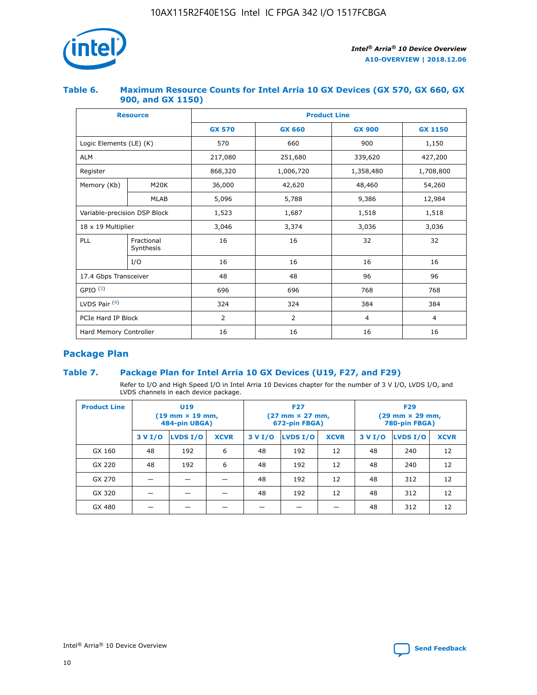

## **Table 6. Maximum Resource Counts for Intel Arria 10 GX Devices (GX 570, GX 660, GX 900, and GX 1150)**

|                              | <b>Resource</b>         | <b>Product Line</b> |                |                |                |  |  |  |
|------------------------------|-------------------------|---------------------|----------------|----------------|----------------|--|--|--|
|                              |                         | <b>GX 570</b>       | <b>GX 660</b>  | <b>GX 900</b>  | <b>GX 1150</b> |  |  |  |
| Logic Elements (LE) (K)      |                         | 570                 | 660            | 900            | 1,150          |  |  |  |
| <b>ALM</b>                   |                         | 217,080             | 251,680        | 339,620        | 427,200        |  |  |  |
| Register                     |                         | 868,320             | 1,006,720      |                | 1,708,800      |  |  |  |
| Memory (Kb)                  | <b>M20K</b>             | 36,000              | 42,620         | 48,460         | 54,260         |  |  |  |
|                              | <b>MLAB</b>             | 5,096               | 5,788          |                | 12,984         |  |  |  |
| Variable-precision DSP Block |                         | 1,523               | 1,687          | 1,518          | 1,518          |  |  |  |
| $18 \times 19$ Multiplier    |                         | 3,046               | 3,374          | 3,036          | 3,036          |  |  |  |
| PLL                          | Fractional<br>Synthesis | 16                  | 16             | 32             | 32             |  |  |  |
|                              | I/O                     | 16                  | 16             | 16             | 16             |  |  |  |
| 17.4 Gbps Transceiver        |                         | 48                  | 48<br>96       |                | 96             |  |  |  |
| GPIO <sup>(3)</sup>          |                         | 696                 | 696            | 768            | 768            |  |  |  |
| LVDS Pair $(4)$              |                         | 324                 | 324            | 384            | 384            |  |  |  |
| PCIe Hard IP Block           |                         | 2                   | $\overline{2}$ | $\overline{4}$ | $\overline{4}$ |  |  |  |
| Hard Memory Controller       |                         | 16                  | 16<br>16       |                | 16             |  |  |  |

# **Package Plan**

# **Table 7. Package Plan for Intel Arria 10 GX Devices (U19, F27, and F29)**

Refer to I/O and High Speed I/O in Intel Arria 10 Devices chapter for the number of 3 V I/O, LVDS I/O, and LVDS channels in each device package.

| <b>Product Line</b> | U <sub>19</sub><br>$(19 \text{ mm} \times 19 \text{ mm})$<br>484-pin UBGA) |          |             |         | <b>F27</b><br>(27 mm × 27 mm,<br>672-pin FBGA) |             | <b>F29</b><br>$(29 \text{ mm} \times 29 \text{ mm})$<br>780-pin FBGA) |          |             |  |
|---------------------|----------------------------------------------------------------------------|----------|-------------|---------|------------------------------------------------|-------------|-----------------------------------------------------------------------|----------|-------------|--|
|                     | 3 V I/O                                                                    | LVDS I/O | <b>XCVR</b> | 3 V I/O | LVDS I/O                                       | <b>XCVR</b> | 3 V I/O                                                               | LVDS I/O | <b>XCVR</b> |  |
| GX 160              | 48                                                                         | 192      | 6           | 48      | 192                                            | 12          | 48                                                                    | 240      | 12          |  |
| GX 220              | 48                                                                         | 192      | 6           | 48      | 192                                            | 12          | 48                                                                    | 240      | 12          |  |
| GX 270              |                                                                            |          |             | 48      | 192                                            | 12          | 48                                                                    | 312      | 12          |  |
| GX 320              |                                                                            |          |             | 48      | 192                                            | 12          | 48                                                                    | 312      | 12          |  |
| GX 480              |                                                                            |          |             |         |                                                |             | 48                                                                    | 312      | 12          |  |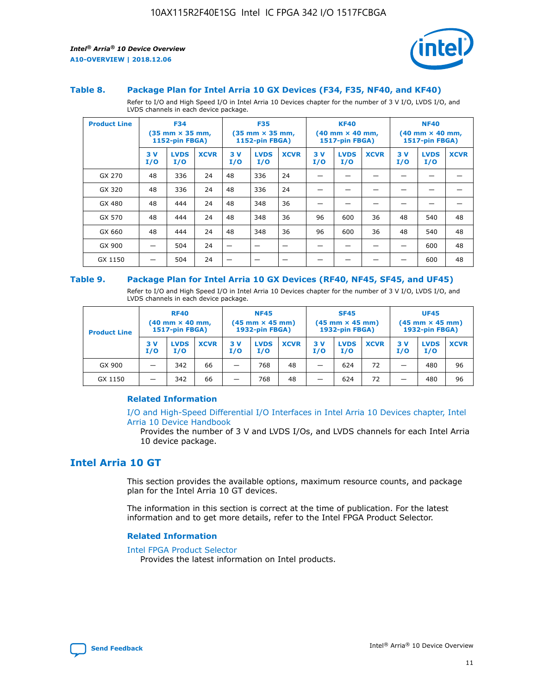

#### **Table 8. Package Plan for Intel Arria 10 GX Devices (F34, F35, NF40, and KF40)**

Refer to I/O and High Speed I/O in Intel Arria 10 Devices chapter for the number of 3 V I/O, LVDS I/O, and LVDS channels in each device package.

| <b>Product Line</b> | <b>F34</b><br>$(35 \text{ mm} \times 35 \text{ mm})$<br>1152-pin FBGA) |                    | <b>F35</b><br>$(35 \text{ mm} \times 35 \text{ mm})$<br><b>1152-pin FBGA)</b> |           | <b>KF40</b><br>$(40$ mm $\times$ 40 mm,<br>1517-pin FBGA) |             |           | <b>NF40</b><br>$(40$ mm $\times$ 40 mm,<br><b>1517-pin FBGA)</b> |             |            |                    |             |
|---------------------|------------------------------------------------------------------------|--------------------|-------------------------------------------------------------------------------|-----------|-----------------------------------------------------------|-------------|-----------|------------------------------------------------------------------|-------------|------------|--------------------|-------------|
|                     | 3V<br>I/O                                                              | <b>LVDS</b><br>I/O | <b>XCVR</b>                                                                   | 3V<br>I/O | <b>LVDS</b><br>I/O                                        | <b>XCVR</b> | 3V<br>I/O | <b>LVDS</b><br>I/O                                               | <b>XCVR</b> | 3 V<br>I/O | <b>LVDS</b><br>I/O | <b>XCVR</b> |
| GX 270              | 48                                                                     | 336                | 24                                                                            | 48        | 336                                                       | 24          |           |                                                                  |             |            |                    |             |
| GX 320              | 48                                                                     | 336                | 24                                                                            | 48        | 336                                                       | 24          |           |                                                                  |             |            |                    |             |
| GX 480              | 48                                                                     | 444                | 24                                                                            | 48        | 348                                                       | 36          |           |                                                                  |             |            |                    |             |
| GX 570              | 48                                                                     | 444                | 24                                                                            | 48        | 348                                                       | 36          | 96        | 600                                                              | 36          | 48         | 540                | 48          |
| GX 660              | 48                                                                     | 444                | 24                                                                            | 48        | 348                                                       | 36          | 96        | 600                                                              | 36          | 48         | 540                | 48          |
| GX 900              |                                                                        | 504                | 24                                                                            | -         |                                                           |             |           |                                                                  |             |            | 600                | 48          |
| GX 1150             |                                                                        | 504                | 24                                                                            |           |                                                           |             |           |                                                                  |             |            | 600                | 48          |

#### **Table 9. Package Plan for Intel Arria 10 GX Devices (RF40, NF45, SF45, and UF45)**

Refer to I/O and High Speed I/O in Intel Arria 10 Devices chapter for the number of 3 V I/O, LVDS I/O, and LVDS channels in each device package.

| <b>Product Line</b> | <b>RF40</b><br>$(40$ mm $\times$ 40 mm,<br>1517-pin FBGA) |                    | <b>NF45</b><br>$(45 \text{ mm} \times 45 \text{ mm})$<br><b>1932-pin FBGA)</b> |            |                    | <b>SF45</b><br>$(45 \text{ mm} \times 45 \text{ mm})$<br><b>1932-pin FBGA)</b> |            |                    | <b>UF45</b><br>$(45 \text{ mm} \times 45 \text{ mm})$<br><b>1932-pin FBGA)</b> |           |                    |             |
|---------------------|-----------------------------------------------------------|--------------------|--------------------------------------------------------------------------------|------------|--------------------|--------------------------------------------------------------------------------|------------|--------------------|--------------------------------------------------------------------------------|-----------|--------------------|-------------|
|                     | 3V<br>I/O                                                 | <b>LVDS</b><br>I/O | <b>XCVR</b>                                                                    | 3 V<br>I/O | <b>LVDS</b><br>I/O | <b>XCVR</b>                                                                    | 3 V<br>I/O | <b>LVDS</b><br>I/O | <b>XCVR</b>                                                                    | 3V<br>I/O | <b>LVDS</b><br>I/O | <b>XCVR</b> |
| GX 900              |                                                           | 342                | 66                                                                             | _          | 768                | 48                                                                             |            | 624                | 72                                                                             |           | 480                | 96          |
| GX 1150             |                                                           | 342                | 66                                                                             | _          | 768                | 48                                                                             |            | 624                | 72                                                                             |           | 480                | 96          |

### **Related Information**

[I/O and High-Speed Differential I/O Interfaces in Intel Arria 10 Devices chapter, Intel](https://www.intel.com/content/www/us/en/programmable/documentation/sam1403482614086.html#sam1403482030321) [Arria 10 Device Handbook](https://www.intel.com/content/www/us/en/programmable/documentation/sam1403482614086.html#sam1403482030321)

Provides the number of 3 V and LVDS I/Os, and LVDS channels for each Intel Arria 10 device package.

# **Intel Arria 10 GT**

This section provides the available options, maximum resource counts, and package plan for the Intel Arria 10 GT devices.

The information in this section is correct at the time of publication. For the latest information and to get more details, refer to the Intel FPGA Product Selector.

#### **Related Information**

#### [Intel FPGA Product Selector](http://www.altera.com/products/selector/psg-selector.html)

Provides the latest information on Intel products.

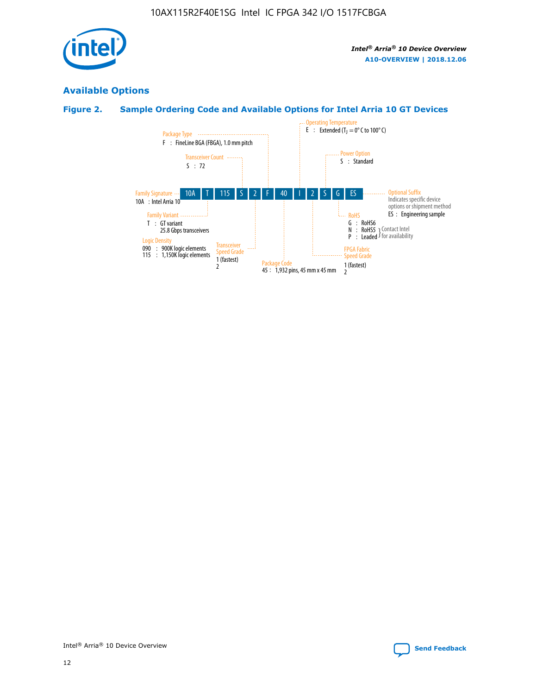

# **Available Options**

# **Figure 2. Sample Ordering Code and Available Options for Intel Arria 10 GT Devices**

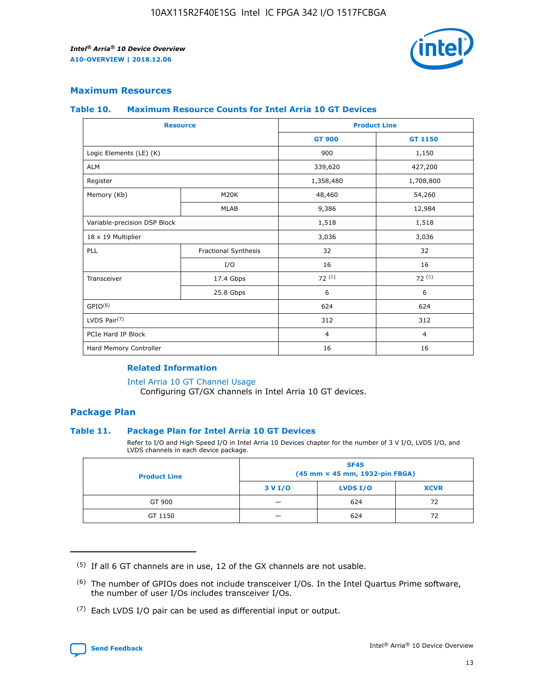

## **Maximum Resources**

#### **Table 10. Maximum Resource Counts for Intel Arria 10 GT Devices**

| <b>Resource</b>              |                      |                | <b>Product Line</b> |  |
|------------------------------|----------------------|----------------|---------------------|--|
|                              |                      | <b>GT 900</b>  | <b>GT 1150</b>      |  |
| Logic Elements (LE) (K)      |                      | 900            | 1,150               |  |
| <b>ALM</b>                   |                      | 339,620        | 427,200             |  |
| Register                     |                      | 1,358,480      | 1,708,800           |  |
| Memory (Kb)                  | M <sub>20</sub> K    | 48,460         | 54,260              |  |
|                              | <b>MLAB</b>          | 9,386          | 12,984              |  |
| Variable-precision DSP Block |                      | 1,518          | 1,518               |  |
| 18 x 19 Multiplier           |                      | 3,036          | 3,036               |  |
| PLL                          | Fractional Synthesis | 32             | 32                  |  |
|                              | I/O                  | 16             | 16                  |  |
| Transceiver                  | 17.4 Gbps            | 72(5)          | 72(5)               |  |
|                              | 25.8 Gbps            | 6              | 6                   |  |
| GPIO <sup>(6)</sup>          |                      | 624            | 624                 |  |
| LVDS Pair $(7)$              |                      | 312            | 312                 |  |
| PCIe Hard IP Block           |                      | $\overline{4}$ | $\overline{4}$      |  |
| Hard Memory Controller       |                      | 16             | 16                  |  |

## **Related Information**

#### [Intel Arria 10 GT Channel Usage](https://www.intel.com/content/www/us/en/programmable/documentation/nik1398707230472.html#nik1398707008178)

Configuring GT/GX channels in Intel Arria 10 GT devices.

## **Package Plan**

### **Table 11. Package Plan for Intel Arria 10 GT Devices**

Refer to I/O and High Speed I/O in Intel Arria 10 Devices chapter for the number of 3 V I/O, LVDS I/O, and LVDS channels in each device package.

| <b>Product Line</b> | <b>SF45</b><br>(45 mm × 45 mm, 1932-pin FBGA) |                 |             |  |  |  |
|---------------------|-----------------------------------------------|-----------------|-------------|--|--|--|
|                     | 3 V I/O                                       | <b>LVDS I/O</b> | <b>XCVR</b> |  |  |  |
| GT 900              |                                               | 624             | 72          |  |  |  |
| GT 1150             |                                               | 624             |             |  |  |  |

<sup>(7)</sup> Each LVDS I/O pair can be used as differential input or output.



 $(5)$  If all 6 GT channels are in use, 12 of the GX channels are not usable.

<sup>(6)</sup> The number of GPIOs does not include transceiver I/Os. In the Intel Quartus Prime software, the number of user I/Os includes transceiver I/Os.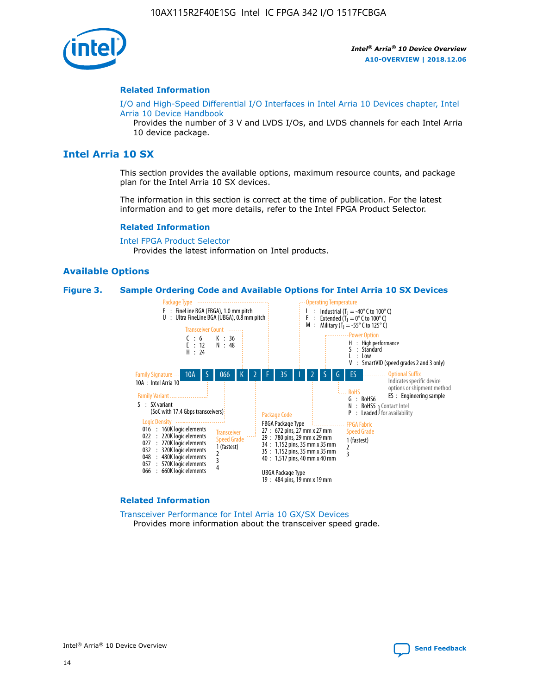

#### **Related Information**

[I/O and High-Speed Differential I/O Interfaces in Intel Arria 10 Devices chapter, Intel](https://www.intel.com/content/www/us/en/programmable/documentation/sam1403482614086.html#sam1403482030321) [Arria 10 Device Handbook](https://www.intel.com/content/www/us/en/programmable/documentation/sam1403482614086.html#sam1403482030321)

Provides the number of 3 V and LVDS I/Os, and LVDS channels for each Intel Arria 10 device package.

# **Intel Arria 10 SX**

This section provides the available options, maximum resource counts, and package plan for the Intel Arria 10 SX devices.

The information in this section is correct at the time of publication. For the latest information and to get more details, refer to the Intel FPGA Product Selector.

#### **Related Information**

[Intel FPGA Product Selector](http://www.altera.com/products/selector/psg-selector.html) Provides the latest information on Intel products.

### **Available Options**

#### **Figure 3. Sample Ordering Code and Available Options for Intel Arria 10 SX Devices**



#### **Related Information**

[Transceiver Performance for Intel Arria 10 GX/SX Devices](https://www.intel.com/content/www/us/en/programmable/documentation/mcn1413182292568.html#mcn1413213965502) Provides more information about the transceiver speed grade.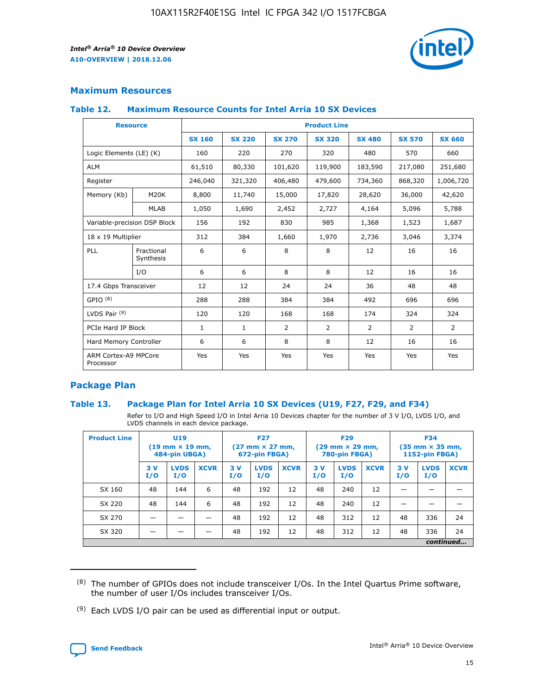

# **Maximum Resources**

### **Table 12. Maximum Resource Counts for Intel Arria 10 SX Devices**

| <b>Resource</b>                   |                         | <b>Product Line</b> |               |                |                |                |                |                |  |  |  |
|-----------------------------------|-------------------------|---------------------|---------------|----------------|----------------|----------------|----------------|----------------|--|--|--|
|                                   |                         | <b>SX 160</b>       | <b>SX 220</b> | <b>SX 270</b>  | <b>SX 320</b>  | <b>SX 480</b>  | <b>SX 570</b>  | <b>SX 660</b>  |  |  |  |
| Logic Elements (LE) (K)           |                         | 160                 | 220           | 270            | 320            | 480            | 570            | 660            |  |  |  |
| <b>ALM</b>                        |                         | 61,510              | 80,330        | 101,620        | 119,900        | 183,590        | 217,080        | 251,680        |  |  |  |
| Register                          |                         | 246,040             | 321,320       | 406,480        | 479,600        | 734,360        | 868,320        | 1,006,720      |  |  |  |
| Memory (Kb)                       | <b>M20K</b>             | 8,800               | 11,740        | 15,000         | 17,820         | 28,620         | 36,000         | 42,620         |  |  |  |
|                                   | <b>MLAB</b>             | 1,050               | 1,690         | 2,452          | 2,727          | 4,164          | 5,096          | 5,788          |  |  |  |
| Variable-precision DSP Block      |                         | 156                 | 192           | 830            | 985            | 1,368          | 1,523          | 1,687          |  |  |  |
| 18 x 19 Multiplier                |                         | 312                 | 384           | 1,660          | 1,970          | 2,736          | 3,046          | 3,374          |  |  |  |
| PLL                               | Fractional<br>Synthesis | 6                   | 6             | 8              | 8              | 12             | 16             | 16             |  |  |  |
|                                   | I/O                     | 6                   | 6             | 8              | 8              | 12             | 16             | 16             |  |  |  |
| 17.4 Gbps Transceiver             |                         | 12                  | 12            | 24             | 24             | 36             | 48             | 48             |  |  |  |
| GPIO <sup>(8)</sup>               |                         | 288                 | 288           | 384            | 384            | 492            | 696            | 696            |  |  |  |
| LVDS Pair $(9)$                   |                         | 120                 | 120           | 168            | 168            | 174            | 324            | 324            |  |  |  |
|                                   | PCIe Hard IP Block      |                     | $\mathbf{1}$  | $\overline{2}$ | $\overline{2}$ | $\overline{2}$ | $\overline{2}$ | $\overline{2}$ |  |  |  |
| Hard Memory Controller            |                         | 6                   | 6             | 8              | 8              | 12             | 16             | 16             |  |  |  |
| ARM Cortex-A9 MPCore<br>Processor |                         | Yes                 | Yes           | Yes            | Yes            | Yes            | Yes            | <b>Yes</b>     |  |  |  |

# **Package Plan**

### **Table 13. Package Plan for Intel Arria 10 SX Devices (U19, F27, F29, and F34)**

Refer to I/O and High Speed I/O in Intel Arria 10 Devices chapter for the number of 3 V I/O, LVDS I/O, and LVDS channels in each device package.

| <b>Product Line</b> | U19<br>$(19 \text{ mm} \times 19 \text{ mm})$<br>484-pin UBGA) |                    | <b>F27</b><br>$(27 \text{ mm} \times 27 \text{ mm})$<br>672-pin FBGA) |           | <b>F29</b><br>$(29 \text{ mm} \times 29 \text{ mm})$<br>780-pin FBGA) |             |            | <b>F34</b><br>$(35 \text{ mm} \times 35 \text{ mm})$<br><b>1152-pin FBGA)</b> |             |           |                    |             |
|---------------------|----------------------------------------------------------------|--------------------|-----------------------------------------------------------------------|-----------|-----------------------------------------------------------------------|-------------|------------|-------------------------------------------------------------------------------|-------------|-----------|--------------------|-------------|
|                     | 3V<br>I/O                                                      | <b>LVDS</b><br>I/O | <b>XCVR</b>                                                           | 3V<br>I/O | <b>LVDS</b><br>I/O                                                    | <b>XCVR</b> | 3 V<br>I/O | <b>LVDS</b><br>I/O                                                            | <b>XCVR</b> | 3V<br>I/O | <b>LVDS</b><br>I/O | <b>XCVR</b> |
| SX 160              | 48                                                             | 144                | 6                                                                     | 48        | 192                                                                   | 12          | 48         | 240                                                                           | 12          | –         |                    |             |
| SX 220              | 48                                                             | 144                | 6                                                                     | 48        | 192                                                                   | 12          | 48         | 240                                                                           | 12          |           |                    |             |
| SX 270              |                                                                |                    |                                                                       | 48        | 192                                                                   | 12          | 48         | 312                                                                           | 12          | 48        | 336                | 24          |
| SX 320              |                                                                |                    |                                                                       | 48        | 192                                                                   | 12          | 48         | 312                                                                           | 12          | 48        | 336                | 24          |
|                     | continued                                                      |                    |                                                                       |           |                                                                       |             |            |                                                                               |             |           |                    |             |

 $(8)$  The number of GPIOs does not include transceiver I/Os. In the Intel Quartus Prime software, the number of user I/Os includes transceiver I/Os.

 $(9)$  Each LVDS I/O pair can be used as differential input or output.

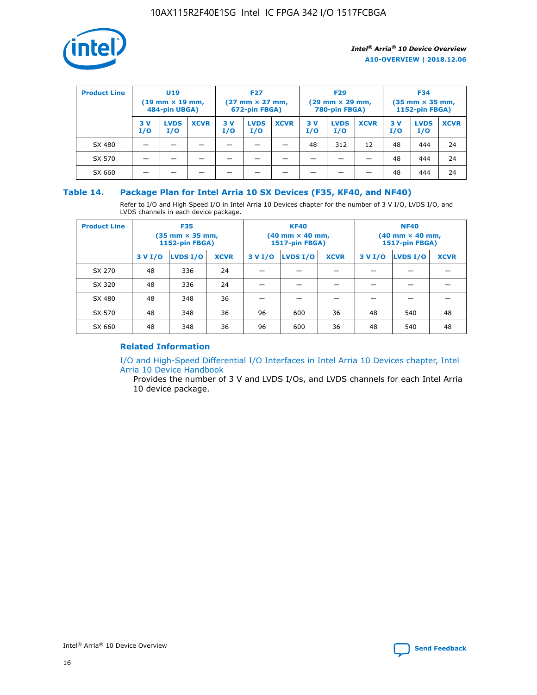

| <b>Product Line</b> | U <sub>19</sub><br>$(19 \text{ mm} \times 19 \text{ mm})$<br>484-pin UBGA) |                    | <b>F27</b><br>$(27 \text{ mm} \times 27 \text{ mm})$<br>672-pin FBGA) |           | <b>F29</b><br>$(29 \text{ mm} \times 29 \text{ mm})$<br>780-pin FBGA) |             |           | <b>F34</b><br>$(35 \text{ mm} \times 35 \text{ mm})$<br><b>1152-pin FBGA)</b> |             |           |                    |             |
|---------------------|----------------------------------------------------------------------------|--------------------|-----------------------------------------------------------------------|-----------|-----------------------------------------------------------------------|-------------|-----------|-------------------------------------------------------------------------------|-------------|-----------|--------------------|-------------|
|                     | 3 V<br>I/O                                                                 | <b>LVDS</b><br>I/O | <b>XCVR</b>                                                           | 3V<br>I/O | <b>LVDS</b><br>I/O                                                    | <b>XCVR</b> | 3V<br>I/O | <b>LVDS</b><br>I/O                                                            | <b>XCVR</b> | 3V<br>I/O | <b>LVDS</b><br>I/O | <b>XCVR</b> |
| SX 480              |                                                                            |                    |                                                                       |           |                                                                       |             | 48        | 312                                                                           | 12          | 48        | 444                | 24          |
| SX 570              |                                                                            |                    |                                                                       |           |                                                                       |             |           |                                                                               |             | 48        | 444                | 24          |
| SX 660              |                                                                            |                    |                                                                       |           |                                                                       |             |           |                                                                               |             | 48        | 444                | 24          |

## **Table 14. Package Plan for Intel Arria 10 SX Devices (F35, KF40, and NF40)**

Refer to I/O and High Speed I/O in Intel Arria 10 Devices chapter for the number of 3 V I/O, LVDS I/O, and LVDS channels in each device package.

| <b>Product Line</b> | <b>F35</b><br>$(35$ mm $\times$ 35 mm,<br><b>1152-pin FBGA)</b> |                 |             |                                           | <b>KF40</b><br>(40 mm × 40 mm,<br>1517-pin FBGA) |    | <b>NF40</b><br>(40 mm × 40 mm,<br>1517-pin FBGA) |          |             |  |
|---------------------|-----------------------------------------------------------------|-----------------|-------------|-------------------------------------------|--------------------------------------------------|----|--------------------------------------------------|----------|-------------|--|
|                     | 3 V I/O                                                         | <b>LVDS I/O</b> | <b>XCVR</b> | <b>LVDS I/O</b><br><b>XCVR</b><br>3 V I/O |                                                  |    | 3 V I/O                                          | LVDS I/O | <b>XCVR</b> |  |
| SX 270              | 48                                                              | 336             | 24          |                                           |                                                  |    |                                                  |          |             |  |
| SX 320              | 48                                                              | 336             | 24          |                                           |                                                  |    |                                                  |          |             |  |
| SX 480              | 48                                                              | 348             | 36          |                                           |                                                  |    |                                                  |          |             |  |
| SX 570              | 48                                                              | 348             | 36          | 96                                        | 600                                              | 36 | 48                                               | 540      | 48          |  |
| SX 660              | 48                                                              | 348             | 36          | 96                                        | 600                                              | 36 | 48                                               | 540      | 48          |  |

# **Related Information**

[I/O and High-Speed Differential I/O Interfaces in Intel Arria 10 Devices chapter, Intel](https://www.intel.com/content/www/us/en/programmable/documentation/sam1403482614086.html#sam1403482030321) [Arria 10 Device Handbook](https://www.intel.com/content/www/us/en/programmable/documentation/sam1403482614086.html#sam1403482030321)

Provides the number of 3 V and LVDS I/Os, and LVDS channels for each Intel Arria 10 device package.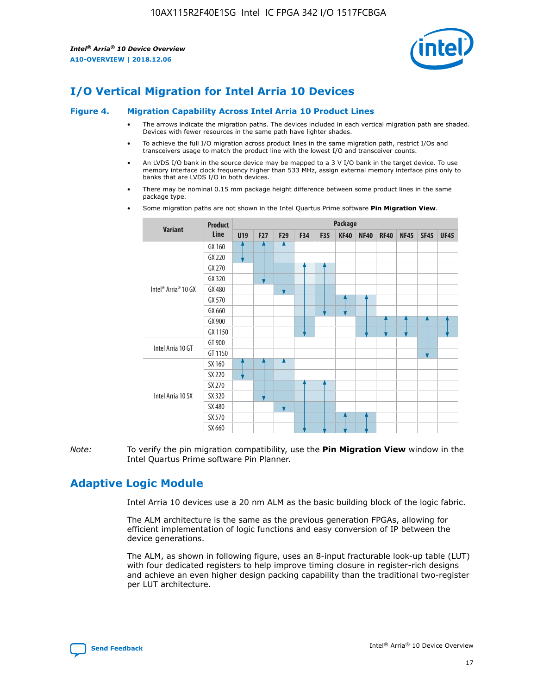

# **I/O Vertical Migration for Intel Arria 10 Devices**

#### **Figure 4. Migration Capability Across Intel Arria 10 Product Lines**

- The arrows indicate the migration paths. The devices included in each vertical migration path are shaded. Devices with fewer resources in the same path have lighter shades.
- To achieve the full I/O migration across product lines in the same migration path, restrict I/Os and transceivers usage to match the product line with the lowest I/O and transceiver counts.
- An LVDS I/O bank in the source device may be mapped to a 3 V I/O bank in the target device. To use memory interface clock frequency higher than 533 MHz, assign external memory interface pins only to banks that are LVDS I/O in both devices.
- There may be nominal 0.15 mm package height difference between some product lines in the same package type.
	- **Variant Product Line Package U19 F27 F29 F34 F35 KF40 NF40 RF40 NF45 SF45 UF45** Intel® Arria® 10 GX GX 160 GX 220 GX 270 GX 320 GX 480 GX 570 GX 660 GX 900 GX 1150 Intel Arria 10 GT GT 900 GT 1150 Intel Arria 10 SX SX 160 SX 220 SX 270 SX 320 SX 480 SX 570 SX 660
- Some migration paths are not shown in the Intel Quartus Prime software **Pin Migration View**.

*Note:* To verify the pin migration compatibility, use the **Pin Migration View** window in the Intel Quartus Prime software Pin Planner.

# **Adaptive Logic Module**

Intel Arria 10 devices use a 20 nm ALM as the basic building block of the logic fabric.

The ALM architecture is the same as the previous generation FPGAs, allowing for efficient implementation of logic functions and easy conversion of IP between the device generations.

The ALM, as shown in following figure, uses an 8-input fracturable look-up table (LUT) with four dedicated registers to help improve timing closure in register-rich designs and achieve an even higher design packing capability than the traditional two-register per LUT architecture.

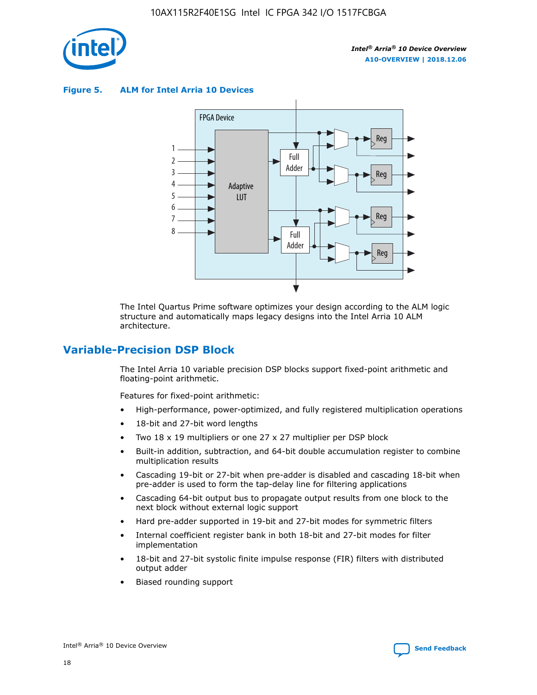

**Figure 5. ALM for Intel Arria 10 Devices**



The Intel Quartus Prime software optimizes your design according to the ALM logic structure and automatically maps legacy designs into the Intel Arria 10 ALM architecture.

# **Variable-Precision DSP Block**

The Intel Arria 10 variable precision DSP blocks support fixed-point arithmetic and floating-point arithmetic.

Features for fixed-point arithmetic:

- High-performance, power-optimized, and fully registered multiplication operations
- 18-bit and 27-bit word lengths
- Two 18 x 19 multipliers or one 27 x 27 multiplier per DSP block
- Built-in addition, subtraction, and 64-bit double accumulation register to combine multiplication results
- Cascading 19-bit or 27-bit when pre-adder is disabled and cascading 18-bit when pre-adder is used to form the tap-delay line for filtering applications
- Cascading 64-bit output bus to propagate output results from one block to the next block without external logic support
- Hard pre-adder supported in 19-bit and 27-bit modes for symmetric filters
- Internal coefficient register bank in both 18-bit and 27-bit modes for filter implementation
- 18-bit and 27-bit systolic finite impulse response (FIR) filters with distributed output adder
- Biased rounding support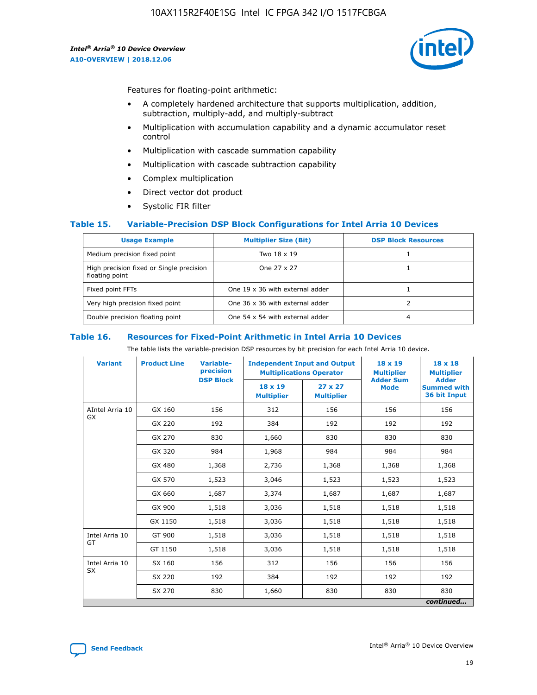

Features for floating-point arithmetic:

- A completely hardened architecture that supports multiplication, addition, subtraction, multiply-add, and multiply-subtract
- Multiplication with accumulation capability and a dynamic accumulator reset control
- Multiplication with cascade summation capability
- Multiplication with cascade subtraction capability
- Complex multiplication
- Direct vector dot product
- Systolic FIR filter

### **Table 15. Variable-Precision DSP Block Configurations for Intel Arria 10 Devices**

| <b>Usage Example</b>                                       | <b>Multiplier Size (Bit)</b>    | <b>DSP Block Resources</b> |
|------------------------------------------------------------|---------------------------------|----------------------------|
| Medium precision fixed point                               | Two 18 x 19                     |                            |
| High precision fixed or Single precision<br>floating point | One 27 x 27                     |                            |
| Fixed point FFTs                                           | One 19 x 36 with external adder |                            |
| Very high precision fixed point                            | One 36 x 36 with external adder |                            |
| Double precision floating point                            | One 54 x 54 with external adder | 4                          |

#### **Table 16. Resources for Fixed-Point Arithmetic in Intel Arria 10 Devices**

The table lists the variable-precision DSP resources by bit precision for each Intel Arria 10 device.

| <b>Variant</b>  | <b>Product Line</b> | <b>Variable-</b><br>precision<br><b>DSP Block</b> | <b>Independent Input and Output</b><br><b>Multiplications Operator</b> |                                     | 18 x 19<br><b>Multiplier</b><br><b>Adder Sum</b> | $18 \times 18$<br><b>Multiplier</b><br><b>Adder</b> |
|-----------------|---------------------|---------------------------------------------------|------------------------------------------------------------------------|-------------------------------------|--------------------------------------------------|-----------------------------------------------------|
|                 |                     |                                                   | 18 x 19<br><b>Multiplier</b>                                           | $27 \times 27$<br><b>Multiplier</b> | <b>Mode</b>                                      | <b>Summed with</b><br>36 bit Input                  |
| AIntel Arria 10 | GX 160              | 156                                               | 312                                                                    | 156                                 | 156                                              | 156                                                 |
| GX              | GX 220              | 192                                               | 384                                                                    | 192                                 | 192                                              | 192                                                 |
|                 | GX 270              | 830                                               | 1,660                                                                  | 830                                 | 830                                              | 830                                                 |
|                 | GX 320              | 984                                               | 1,968                                                                  | 984                                 | 984                                              | 984                                                 |
|                 | GX 480              | 1,368                                             | 2,736                                                                  | 1,368                               | 1,368                                            | 1,368                                               |
|                 | GX 570              | 1,523                                             | 3,046                                                                  | 1,523                               | 1,523                                            | 1,523                                               |
|                 | GX 660              | 1,687                                             | 3,374                                                                  | 1,687                               | 1,687                                            | 1,687                                               |
|                 | GX 900              | 1,518                                             | 3,036                                                                  | 1,518                               | 1,518                                            | 1,518                                               |
|                 | GX 1150             | 1,518                                             | 3,036                                                                  | 1,518                               | 1,518                                            | 1,518                                               |
| Intel Arria 10  | GT 900              | 1,518                                             | 3,036                                                                  | 1,518                               | 1,518                                            | 1,518                                               |
| GT              | GT 1150             | 1,518                                             | 3,036                                                                  | 1,518                               | 1,518                                            | 1,518                                               |
| Intel Arria 10  | SX 160              | 156                                               | 312                                                                    | 156                                 | 156                                              | 156                                                 |
| <b>SX</b>       | SX 220              | 192                                               | 384                                                                    | 192                                 | 192                                              | 192                                                 |
|                 | SX 270              | 830                                               | 830<br>1,660                                                           |                                     | 830                                              | 830                                                 |
|                 |                     |                                                   |                                                                        |                                     |                                                  | continued                                           |

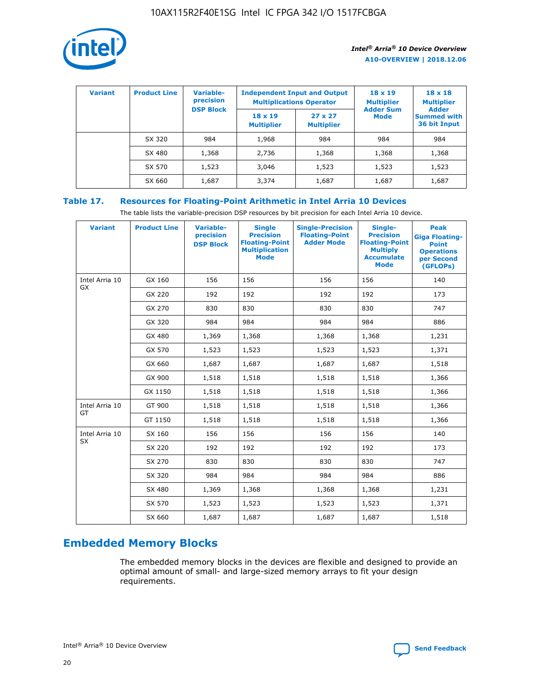

| <b>Variant</b> | <b>Product Line</b> | Variable-<br>precision | <b>Independent Input and Output</b><br><b>Multiplications Operator</b> |                                     | $18 \times 19$<br><b>Multiplier</b> | $18 \times 18$<br><b>Multiplier</b><br><b>Adder</b> |  |
|----------------|---------------------|------------------------|------------------------------------------------------------------------|-------------------------------------|-------------------------------------|-----------------------------------------------------|--|
|                |                     | <b>DSP Block</b>       | $18 \times 19$<br><b>Multiplier</b>                                    | $27 \times 27$<br><b>Multiplier</b> | <b>Adder Sum</b><br><b>Mode</b>     | <b>Summed with</b><br>36 bit Input                  |  |
|                | SX 320              | 984                    | 1,968                                                                  | 984                                 | 984                                 | 984                                                 |  |
|                | SX 480              | 1,368                  | 2,736                                                                  | 1,368                               | 1,368                               | 1,368                                               |  |
|                | SX 570              | 1,523                  | 3,046                                                                  | 1,523                               | 1,523                               | 1,523                                               |  |
|                | SX 660              | 1,687                  | 3,374                                                                  | 1,687                               | 1,687                               | 1,687                                               |  |

# **Table 17. Resources for Floating-Point Arithmetic in Intel Arria 10 Devices**

The table lists the variable-precision DSP resources by bit precision for each Intel Arria 10 device.

| <b>Variant</b> | <b>Product Line</b> | <b>Variable-</b><br>precision<br><b>DSP Block</b> | <b>Single</b><br><b>Precision</b><br><b>Floating-Point</b><br><b>Multiplication</b><br><b>Mode</b> | <b>Single-Precision</b><br><b>Floating-Point</b><br><b>Adder Mode</b> | Single-<br><b>Precision</b><br><b>Floating-Point</b><br><b>Multiply</b><br><b>Accumulate</b><br><b>Mode</b> | <b>Peak</b><br><b>Giga Floating-</b><br><b>Point</b><br><b>Operations</b><br>per Second<br>(GFLOPs) |
|----------------|---------------------|---------------------------------------------------|----------------------------------------------------------------------------------------------------|-----------------------------------------------------------------------|-------------------------------------------------------------------------------------------------------------|-----------------------------------------------------------------------------------------------------|
| Intel Arria 10 | GX 160              | 156                                               | 156                                                                                                | 156                                                                   | 156                                                                                                         | 140                                                                                                 |
| <b>GX</b>      | GX 220              | 192                                               | 192                                                                                                | 192                                                                   | 192                                                                                                         | 173                                                                                                 |
|                | GX 270              | 830                                               | 830                                                                                                | 830                                                                   | 830                                                                                                         | 747                                                                                                 |
|                | GX 320              | 984                                               | 984                                                                                                | 984                                                                   | 984                                                                                                         | 886                                                                                                 |
|                | GX 480              | 1,369                                             | 1,368                                                                                              | 1,368                                                                 | 1,368                                                                                                       | 1,231                                                                                               |
|                | GX 570              | 1,523                                             | 1,523                                                                                              | 1,523                                                                 | 1,523                                                                                                       | 1,371                                                                                               |
|                | GX 660              | 1,687                                             | 1,687                                                                                              | 1,687                                                                 | 1,687                                                                                                       | 1,518                                                                                               |
|                | GX 900              | 1,518                                             | 1,518                                                                                              | 1,518                                                                 | 1,518                                                                                                       | 1,366                                                                                               |
|                | GX 1150             | 1,518                                             | 1,518                                                                                              | 1,518                                                                 | 1,518                                                                                                       | 1,366                                                                                               |
| Intel Arria 10 | GT 900              | 1,518                                             | 1,518                                                                                              | 1,518                                                                 | 1,518                                                                                                       | 1,366                                                                                               |
| GT             | GT 1150             | 1,518                                             | 1,518                                                                                              | 1,518                                                                 | 1,518                                                                                                       | 1,366                                                                                               |
| Intel Arria 10 | SX 160              | 156                                               | 156                                                                                                | 156                                                                   | 156                                                                                                         | 140                                                                                                 |
| SX             | SX 220              | 192                                               | 192                                                                                                | 192                                                                   | 192                                                                                                         | 173                                                                                                 |
|                | SX 270              | 830                                               | 830                                                                                                | 830                                                                   | 830                                                                                                         | 747                                                                                                 |
|                | SX 320              | 984                                               | 984                                                                                                | 984                                                                   | 984                                                                                                         | 886                                                                                                 |
|                | SX 480              | 1,369                                             | 1,368                                                                                              | 1,368                                                                 | 1,368                                                                                                       | 1,231                                                                                               |
|                | SX 570              | 1,523                                             | 1,523                                                                                              | 1,523                                                                 | 1,523                                                                                                       | 1,371                                                                                               |
|                | SX 660              | 1,687                                             | 1,687                                                                                              | 1,687                                                                 | 1,687                                                                                                       | 1,518                                                                                               |

# **Embedded Memory Blocks**

The embedded memory blocks in the devices are flexible and designed to provide an optimal amount of small- and large-sized memory arrays to fit your design requirements.

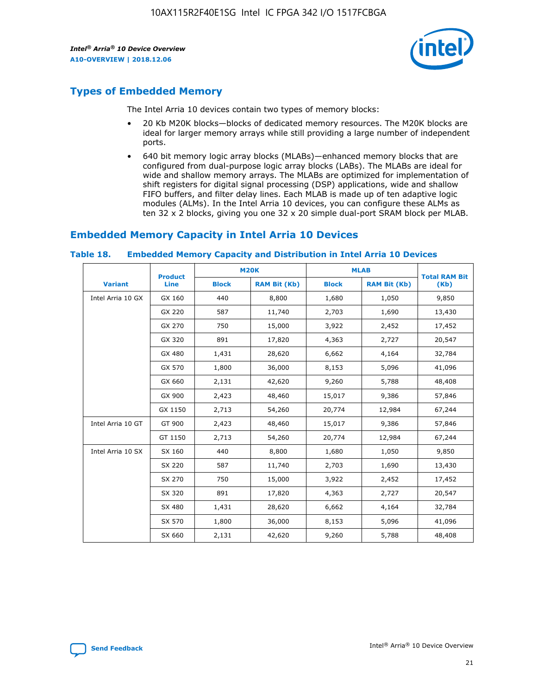

# **Types of Embedded Memory**

The Intel Arria 10 devices contain two types of memory blocks:

- 20 Kb M20K blocks—blocks of dedicated memory resources. The M20K blocks are ideal for larger memory arrays while still providing a large number of independent ports.
- 640 bit memory logic array blocks (MLABs)—enhanced memory blocks that are configured from dual-purpose logic array blocks (LABs). The MLABs are ideal for wide and shallow memory arrays. The MLABs are optimized for implementation of shift registers for digital signal processing (DSP) applications, wide and shallow FIFO buffers, and filter delay lines. Each MLAB is made up of ten adaptive logic modules (ALMs). In the Intel Arria 10 devices, you can configure these ALMs as ten 32 x 2 blocks, giving you one 32 x 20 simple dual-port SRAM block per MLAB.

# **Embedded Memory Capacity in Intel Arria 10 Devices**

|                   | <b>Product</b> |              | <b>M20K</b>         | <b>MLAB</b>  |                     | <b>Total RAM Bit</b> |
|-------------------|----------------|--------------|---------------------|--------------|---------------------|----------------------|
| <b>Variant</b>    | Line           | <b>Block</b> | <b>RAM Bit (Kb)</b> | <b>Block</b> | <b>RAM Bit (Kb)</b> | (Kb)                 |
| Intel Arria 10 GX | GX 160         | 440          | 8,800               | 1,680        | 1,050               | 9,850                |
|                   | GX 220         | 587          | 11,740              | 2,703        | 1,690               | 13,430               |
|                   | GX 270         | 750          | 15,000              | 3,922        | 2,452               | 17,452               |
|                   | GX 320         | 891          | 17,820              | 4,363        | 2,727               | 20,547               |
|                   | GX 480         | 1,431        | 28,620              | 6,662        | 4,164               | 32,784               |
|                   | GX 570         | 1,800        | 36,000              | 8,153        | 5,096               | 41,096               |
|                   | GX 660         | 2,131        | 42,620              | 9,260        | 5,788               | 48,408               |
|                   | GX 900         | 2,423        | 48,460              | 15,017       | 9,386               | 57,846               |
|                   | GX 1150        | 2,713        | 54,260              | 20,774       | 12,984              | 67,244               |
| Intel Arria 10 GT | GT 900         | 2,423        | 48,460              | 15,017       | 9,386               | 57,846               |
|                   | GT 1150        | 2,713        | 54,260              | 20,774       | 12,984              | 67,244               |
| Intel Arria 10 SX | SX 160         | 440          | 8,800               | 1,680        | 1,050               | 9,850                |
|                   | SX 220         | 587          | 11,740              | 2,703        | 1,690               | 13,430               |
|                   | SX 270         | 750          | 15,000              | 3,922        | 2,452               | 17,452               |
|                   | SX 320         | 891          | 17,820              | 4,363        | 2,727               | 20,547               |
|                   | SX 480         | 1,431        | 28,620              | 6,662        | 4,164               | 32,784               |
|                   | SX 570         | 1,800        | 36,000              | 8,153        | 5,096               | 41,096               |
|                   | SX 660         | 2,131        | 42,620              | 9,260        | 5,788               | 48,408               |

#### **Table 18. Embedded Memory Capacity and Distribution in Intel Arria 10 Devices**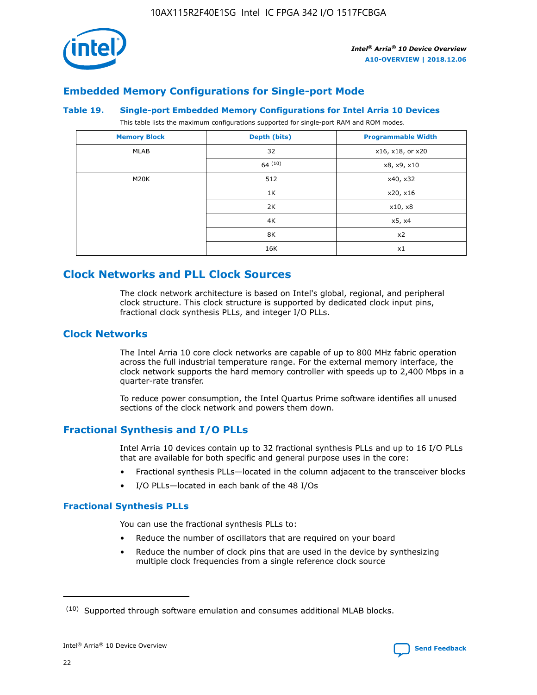

# **Embedded Memory Configurations for Single-port Mode**

#### **Table 19. Single-port Embedded Memory Configurations for Intel Arria 10 Devices**

This table lists the maximum configurations supported for single-port RAM and ROM modes.

| <b>Memory Block</b> | Depth (bits) | <b>Programmable Width</b> |
|---------------------|--------------|---------------------------|
| MLAB                | 32           | x16, x18, or x20          |
|                     | 64(10)       | x8, x9, x10               |
| M20K                | 512          | x40, x32                  |
|                     | 1K           | x20, x16                  |
|                     | 2K           | x10, x8                   |
|                     | 4K           | x5, x4                    |
|                     | 8K           | x2                        |
|                     | 16K          | x1                        |

# **Clock Networks and PLL Clock Sources**

The clock network architecture is based on Intel's global, regional, and peripheral clock structure. This clock structure is supported by dedicated clock input pins, fractional clock synthesis PLLs, and integer I/O PLLs.

# **Clock Networks**

The Intel Arria 10 core clock networks are capable of up to 800 MHz fabric operation across the full industrial temperature range. For the external memory interface, the clock network supports the hard memory controller with speeds up to 2,400 Mbps in a quarter-rate transfer.

To reduce power consumption, the Intel Quartus Prime software identifies all unused sections of the clock network and powers them down.

# **Fractional Synthesis and I/O PLLs**

Intel Arria 10 devices contain up to 32 fractional synthesis PLLs and up to 16 I/O PLLs that are available for both specific and general purpose uses in the core:

- Fractional synthesis PLLs—located in the column adjacent to the transceiver blocks
- I/O PLLs—located in each bank of the 48 I/Os

### **Fractional Synthesis PLLs**

You can use the fractional synthesis PLLs to:

- Reduce the number of oscillators that are required on your board
- Reduce the number of clock pins that are used in the device by synthesizing multiple clock frequencies from a single reference clock source

<sup>(10)</sup> Supported through software emulation and consumes additional MLAB blocks.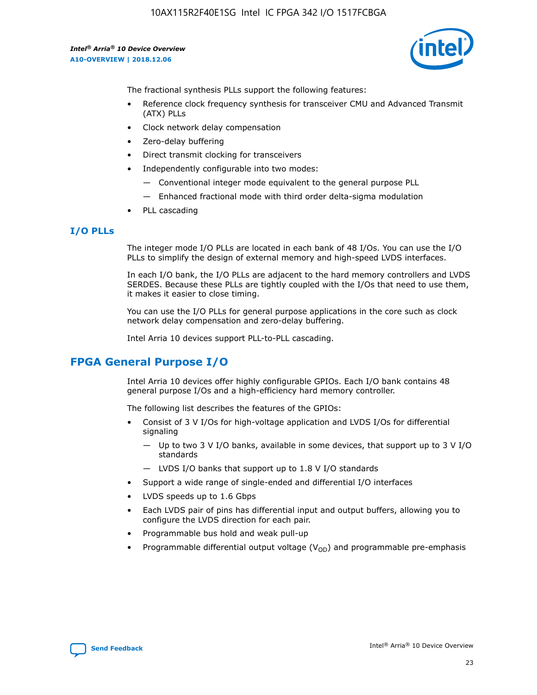10AX115R2F40E1SG Intel IC FPGA 342 I/O 1517FCBGA

*Intel® Arria® 10 Device Overview* **A10-OVERVIEW | 2018.12.06**



The fractional synthesis PLLs support the following features:

- Reference clock frequency synthesis for transceiver CMU and Advanced Transmit (ATX) PLLs
- Clock network delay compensation
- Zero-delay buffering
- Direct transmit clocking for transceivers
- Independently configurable into two modes:
	- Conventional integer mode equivalent to the general purpose PLL
	- Enhanced fractional mode with third order delta-sigma modulation
- PLL cascading

## **I/O PLLs**

The integer mode I/O PLLs are located in each bank of 48 I/Os. You can use the I/O PLLs to simplify the design of external memory and high-speed LVDS interfaces.

In each I/O bank, the I/O PLLs are adjacent to the hard memory controllers and LVDS SERDES. Because these PLLs are tightly coupled with the I/Os that need to use them, it makes it easier to close timing.

You can use the I/O PLLs for general purpose applications in the core such as clock network delay compensation and zero-delay buffering.

Intel Arria 10 devices support PLL-to-PLL cascading.

# **FPGA General Purpose I/O**

Intel Arria 10 devices offer highly configurable GPIOs. Each I/O bank contains 48 general purpose I/Os and a high-efficiency hard memory controller.

The following list describes the features of the GPIOs:

- Consist of 3 V I/Os for high-voltage application and LVDS I/Os for differential signaling
	- Up to two 3 V I/O banks, available in some devices, that support up to 3 V I/O standards
	- LVDS I/O banks that support up to 1.8 V I/O standards
- Support a wide range of single-ended and differential I/O interfaces
- LVDS speeds up to 1.6 Gbps
- Each LVDS pair of pins has differential input and output buffers, allowing you to configure the LVDS direction for each pair.
- Programmable bus hold and weak pull-up
- Programmable differential output voltage  $(V_{OD})$  and programmable pre-emphasis

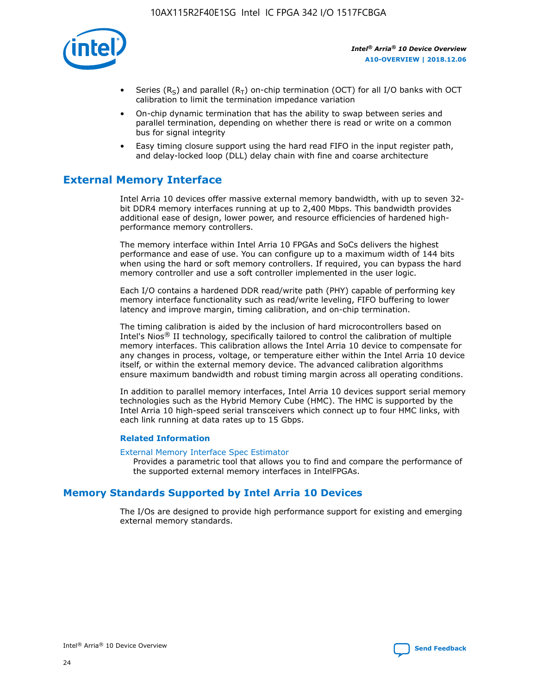

- Series (R<sub>S</sub>) and parallel (R<sub>T</sub>) on-chip termination (OCT) for all I/O banks with OCT calibration to limit the termination impedance variation
- On-chip dynamic termination that has the ability to swap between series and parallel termination, depending on whether there is read or write on a common bus for signal integrity
- Easy timing closure support using the hard read FIFO in the input register path, and delay-locked loop (DLL) delay chain with fine and coarse architecture

# **External Memory Interface**

Intel Arria 10 devices offer massive external memory bandwidth, with up to seven 32 bit DDR4 memory interfaces running at up to 2,400 Mbps. This bandwidth provides additional ease of design, lower power, and resource efficiencies of hardened highperformance memory controllers.

The memory interface within Intel Arria 10 FPGAs and SoCs delivers the highest performance and ease of use. You can configure up to a maximum width of 144 bits when using the hard or soft memory controllers. If required, you can bypass the hard memory controller and use a soft controller implemented in the user logic.

Each I/O contains a hardened DDR read/write path (PHY) capable of performing key memory interface functionality such as read/write leveling, FIFO buffering to lower latency and improve margin, timing calibration, and on-chip termination.

The timing calibration is aided by the inclusion of hard microcontrollers based on Intel's Nios® II technology, specifically tailored to control the calibration of multiple memory interfaces. This calibration allows the Intel Arria 10 device to compensate for any changes in process, voltage, or temperature either within the Intel Arria 10 device itself, or within the external memory device. The advanced calibration algorithms ensure maximum bandwidth and robust timing margin across all operating conditions.

In addition to parallel memory interfaces, Intel Arria 10 devices support serial memory technologies such as the Hybrid Memory Cube (HMC). The HMC is supported by the Intel Arria 10 high-speed serial transceivers which connect up to four HMC links, with each link running at data rates up to 15 Gbps.

### **Related Information**

#### [External Memory Interface Spec Estimator](http://www.altera.com/technology/memory/estimator/mem-emif-index.html)

Provides a parametric tool that allows you to find and compare the performance of the supported external memory interfaces in IntelFPGAs.

# **Memory Standards Supported by Intel Arria 10 Devices**

The I/Os are designed to provide high performance support for existing and emerging external memory standards.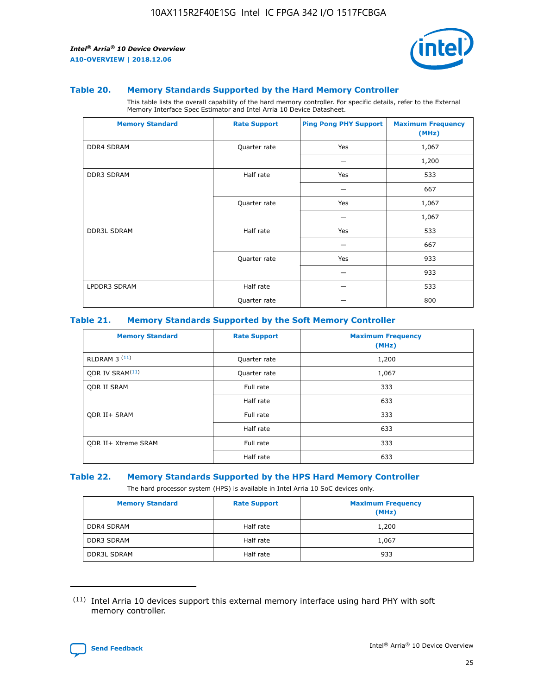

#### **Table 20. Memory Standards Supported by the Hard Memory Controller**

This table lists the overall capability of the hard memory controller. For specific details, refer to the External Memory Interface Spec Estimator and Intel Arria 10 Device Datasheet.

| <b>Memory Standard</b> | <b>Rate Support</b> | <b>Ping Pong PHY Support</b> | <b>Maximum Frequency</b><br>(MHz) |
|------------------------|---------------------|------------------------------|-----------------------------------|
| <b>DDR4 SDRAM</b>      | Quarter rate        | Yes                          | 1,067                             |
|                        |                     |                              | 1,200                             |
| DDR3 SDRAM             | Half rate           | Yes                          | 533                               |
|                        |                     |                              | 667                               |
|                        | Quarter rate        | Yes                          | 1,067                             |
|                        |                     |                              | 1,067                             |
| <b>DDR3L SDRAM</b>     | Half rate           | Yes                          | 533                               |
|                        |                     |                              | 667                               |
|                        | Quarter rate        | Yes                          | 933                               |
|                        |                     |                              | 933                               |
| LPDDR3 SDRAM           | Half rate           |                              | 533                               |
|                        | Quarter rate        |                              | 800                               |

### **Table 21. Memory Standards Supported by the Soft Memory Controller**

| <b>Memory Standard</b>      | <b>Rate Support</b> | <b>Maximum Frequency</b><br>(MHz) |
|-----------------------------|---------------------|-----------------------------------|
| <b>RLDRAM 3 (11)</b>        | Quarter rate        | 1,200                             |
| ODR IV SRAM <sup>(11)</sup> | Quarter rate        | 1,067                             |
| <b>ODR II SRAM</b>          | Full rate           | 333                               |
|                             | Half rate           | 633                               |
| <b>ODR II+ SRAM</b>         | Full rate           | 333                               |
|                             | Half rate           | 633                               |
| <b>ODR II+ Xtreme SRAM</b>  | Full rate           | 333                               |
|                             | Half rate           | 633                               |

#### **Table 22. Memory Standards Supported by the HPS Hard Memory Controller**

The hard processor system (HPS) is available in Intel Arria 10 SoC devices only.

| <b>Memory Standard</b> | <b>Rate Support</b> | <b>Maximum Frequency</b><br>(MHz) |
|------------------------|---------------------|-----------------------------------|
| <b>DDR4 SDRAM</b>      | Half rate           | 1,200                             |
| <b>DDR3 SDRAM</b>      | Half rate           | 1,067                             |
| <b>DDR3L SDRAM</b>     | Half rate           | 933                               |

<sup>(11)</sup> Intel Arria 10 devices support this external memory interface using hard PHY with soft memory controller.

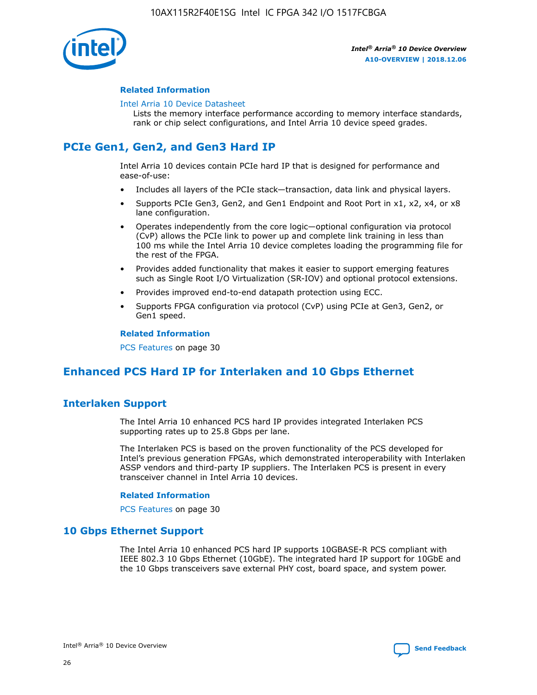

### **Related Information**

#### [Intel Arria 10 Device Datasheet](https://www.intel.com/content/www/us/en/programmable/documentation/mcn1413182292568.html#mcn1413182153340)

Lists the memory interface performance according to memory interface standards, rank or chip select configurations, and Intel Arria 10 device speed grades.

# **PCIe Gen1, Gen2, and Gen3 Hard IP**

Intel Arria 10 devices contain PCIe hard IP that is designed for performance and ease-of-use:

- Includes all layers of the PCIe stack—transaction, data link and physical layers.
- Supports PCIe Gen3, Gen2, and Gen1 Endpoint and Root Port in x1, x2, x4, or x8 lane configuration.
- Operates independently from the core logic—optional configuration via protocol (CvP) allows the PCIe link to power up and complete link training in less than 100 ms while the Intel Arria 10 device completes loading the programming file for the rest of the FPGA.
- Provides added functionality that makes it easier to support emerging features such as Single Root I/O Virtualization (SR-IOV) and optional protocol extensions.
- Provides improved end-to-end datapath protection using ECC.
- Supports FPGA configuration via protocol (CvP) using PCIe at Gen3, Gen2, or Gen1 speed.

#### **Related Information**

PCS Features on page 30

# **Enhanced PCS Hard IP for Interlaken and 10 Gbps Ethernet**

# **Interlaken Support**

The Intel Arria 10 enhanced PCS hard IP provides integrated Interlaken PCS supporting rates up to 25.8 Gbps per lane.

The Interlaken PCS is based on the proven functionality of the PCS developed for Intel's previous generation FPGAs, which demonstrated interoperability with Interlaken ASSP vendors and third-party IP suppliers. The Interlaken PCS is present in every transceiver channel in Intel Arria 10 devices.

### **Related Information**

PCS Features on page 30

# **10 Gbps Ethernet Support**

The Intel Arria 10 enhanced PCS hard IP supports 10GBASE-R PCS compliant with IEEE 802.3 10 Gbps Ethernet (10GbE). The integrated hard IP support for 10GbE and the 10 Gbps transceivers save external PHY cost, board space, and system power.

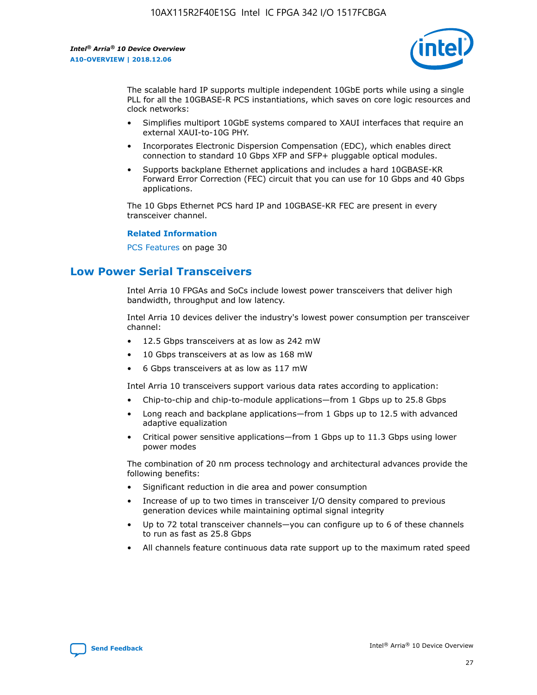

The scalable hard IP supports multiple independent 10GbE ports while using a single PLL for all the 10GBASE-R PCS instantiations, which saves on core logic resources and clock networks:

- Simplifies multiport 10GbE systems compared to XAUI interfaces that require an external XAUI-to-10G PHY.
- Incorporates Electronic Dispersion Compensation (EDC), which enables direct connection to standard 10 Gbps XFP and SFP+ pluggable optical modules.
- Supports backplane Ethernet applications and includes a hard 10GBASE-KR Forward Error Correction (FEC) circuit that you can use for 10 Gbps and 40 Gbps applications.

The 10 Gbps Ethernet PCS hard IP and 10GBASE-KR FEC are present in every transceiver channel.

#### **Related Information**

PCS Features on page 30

# **Low Power Serial Transceivers**

Intel Arria 10 FPGAs and SoCs include lowest power transceivers that deliver high bandwidth, throughput and low latency.

Intel Arria 10 devices deliver the industry's lowest power consumption per transceiver channel:

- 12.5 Gbps transceivers at as low as 242 mW
- 10 Gbps transceivers at as low as 168 mW
- 6 Gbps transceivers at as low as 117 mW

Intel Arria 10 transceivers support various data rates according to application:

- Chip-to-chip and chip-to-module applications—from 1 Gbps up to 25.8 Gbps
- Long reach and backplane applications—from 1 Gbps up to 12.5 with advanced adaptive equalization
- Critical power sensitive applications—from 1 Gbps up to 11.3 Gbps using lower power modes

The combination of 20 nm process technology and architectural advances provide the following benefits:

- Significant reduction in die area and power consumption
- Increase of up to two times in transceiver I/O density compared to previous generation devices while maintaining optimal signal integrity
- Up to 72 total transceiver channels—you can configure up to 6 of these channels to run as fast as 25.8 Gbps
- All channels feature continuous data rate support up to the maximum rated speed

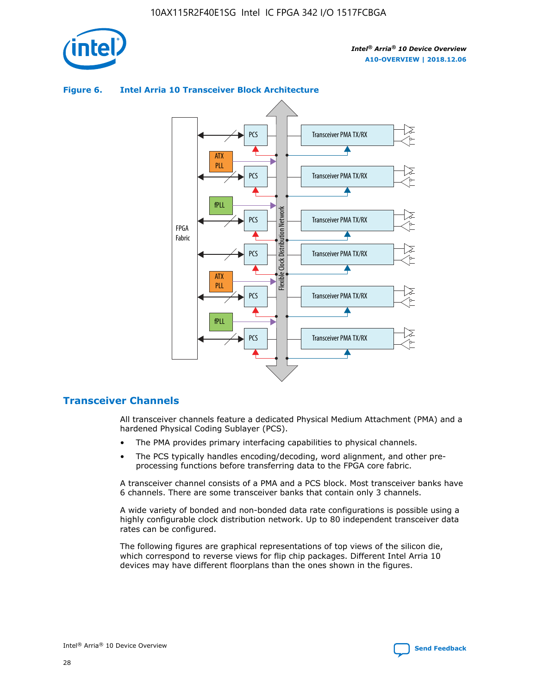



## **Figure 6. Intel Arria 10 Transceiver Block Architecture**

# **Transceiver Channels**

All transceiver channels feature a dedicated Physical Medium Attachment (PMA) and a hardened Physical Coding Sublayer (PCS).

- The PMA provides primary interfacing capabilities to physical channels.
- The PCS typically handles encoding/decoding, word alignment, and other preprocessing functions before transferring data to the FPGA core fabric.

A transceiver channel consists of a PMA and a PCS block. Most transceiver banks have 6 channels. There are some transceiver banks that contain only 3 channels.

A wide variety of bonded and non-bonded data rate configurations is possible using a highly configurable clock distribution network. Up to 80 independent transceiver data rates can be configured.

The following figures are graphical representations of top views of the silicon die, which correspond to reverse views for flip chip packages. Different Intel Arria 10 devices may have different floorplans than the ones shown in the figures.

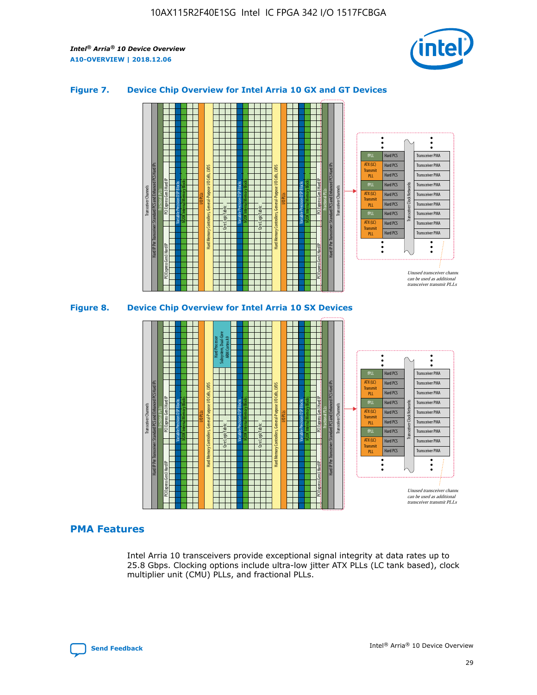

# **Figure 7. Device Chip Overview for Intel Arria 10 GX and GT Devices**





# **PMA Features**

Intel Arria 10 transceivers provide exceptional signal integrity at data rates up to 25.8 Gbps. Clocking options include ultra-low jitter ATX PLLs (LC tank based), clock multiplier unit (CMU) PLLs, and fractional PLLs.

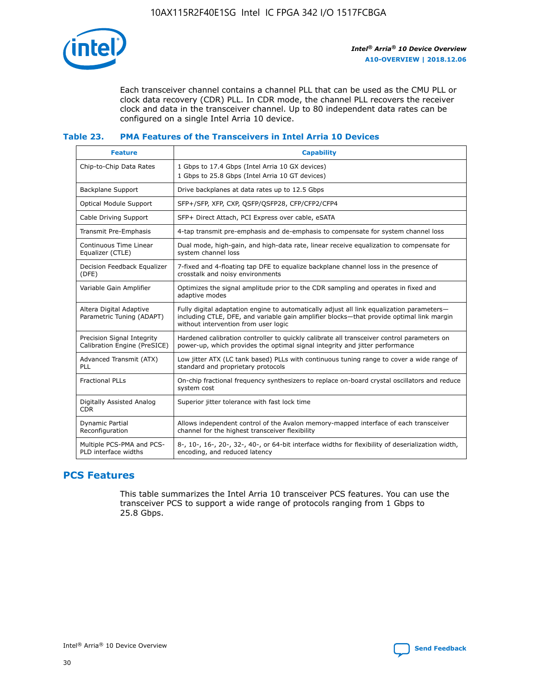

Each transceiver channel contains a channel PLL that can be used as the CMU PLL or clock data recovery (CDR) PLL. In CDR mode, the channel PLL recovers the receiver clock and data in the transceiver channel. Up to 80 independent data rates can be configured on a single Intel Arria 10 device.

## **Table 23. PMA Features of the Transceivers in Intel Arria 10 Devices**

| <b>Feature</b>                                             | <b>Capability</b>                                                                                                                                                                                                             |
|------------------------------------------------------------|-------------------------------------------------------------------------------------------------------------------------------------------------------------------------------------------------------------------------------|
| Chip-to-Chip Data Rates                                    | 1 Gbps to 17.4 Gbps (Intel Arria 10 GX devices)<br>1 Gbps to 25.8 Gbps (Intel Arria 10 GT devices)                                                                                                                            |
| Backplane Support                                          | Drive backplanes at data rates up to 12.5 Gbps                                                                                                                                                                                |
| Optical Module Support                                     | SFP+/SFP, XFP, CXP, QSFP/QSFP28, CFP/CFP2/CFP4                                                                                                                                                                                |
| Cable Driving Support                                      | SFP+ Direct Attach, PCI Express over cable, eSATA                                                                                                                                                                             |
| Transmit Pre-Emphasis                                      | 4-tap transmit pre-emphasis and de-emphasis to compensate for system channel loss                                                                                                                                             |
| Continuous Time Linear<br>Equalizer (CTLE)                 | Dual mode, high-gain, and high-data rate, linear receive equalization to compensate for<br>system channel loss                                                                                                                |
| Decision Feedback Equalizer<br>(DFE)                       | 7-fixed and 4-floating tap DFE to equalize backplane channel loss in the presence of<br>crosstalk and noisy environments                                                                                                      |
| Variable Gain Amplifier                                    | Optimizes the signal amplitude prior to the CDR sampling and operates in fixed and<br>adaptive modes                                                                                                                          |
| Altera Digital Adaptive<br>Parametric Tuning (ADAPT)       | Fully digital adaptation engine to automatically adjust all link equalization parameters-<br>including CTLE, DFE, and variable gain amplifier blocks—that provide optimal link margin<br>without intervention from user logic |
| Precision Signal Integrity<br>Calibration Engine (PreSICE) | Hardened calibration controller to quickly calibrate all transceiver control parameters on<br>power-up, which provides the optimal signal integrity and jitter performance                                                    |
| Advanced Transmit (ATX)<br>PLL                             | Low jitter ATX (LC tank based) PLLs with continuous tuning range to cover a wide range of<br>standard and proprietary protocols                                                                                               |
| <b>Fractional PLLs</b>                                     | On-chip fractional frequency synthesizers to replace on-board crystal oscillators and reduce<br>system cost                                                                                                                   |
| Digitally Assisted Analog<br><b>CDR</b>                    | Superior jitter tolerance with fast lock time                                                                                                                                                                                 |
| <b>Dynamic Partial</b><br>Reconfiguration                  | Allows independent control of the Avalon memory-mapped interface of each transceiver<br>channel for the highest transceiver flexibility                                                                                       |
| Multiple PCS-PMA and PCS-<br>PLD interface widths          | 8-, 10-, 16-, 20-, 32-, 40-, or 64-bit interface widths for flexibility of deserialization width,<br>encoding, and reduced latency                                                                                            |

# **PCS Features**

This table summarizes the Intel Arria 10 transceiver PCS features. You can use the transceiver PCS to support a wide range of protocols ranging from 1 Gbps to 25.8 Gbps.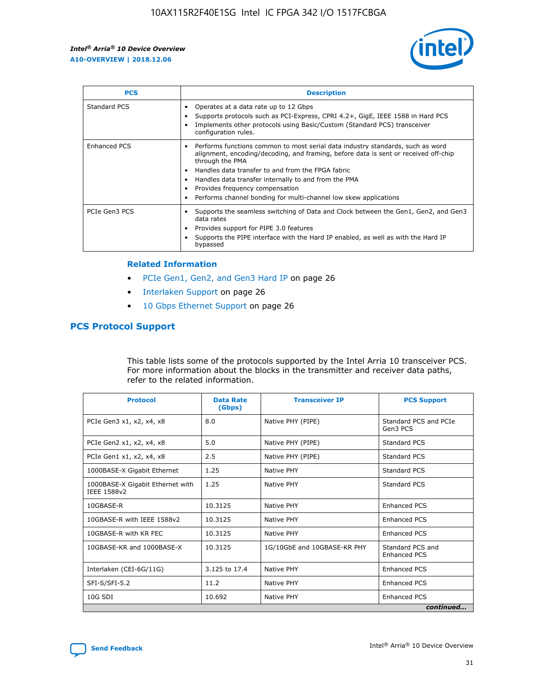

| <b>PCS</b>    | <b>Description</b>                                                                                                                                                                                                                                                                                                                                                                                             |
|---------------|----------------------------------------------------------------------------------------------------------------------------------------------------------------------------------------------------------------------------------------------------------------------------------------------------------------------------------------------------------------------------------------------------------------|
| Standard PCS  | Operates at a data rate up to 12 Gbps<br>Supports protocols such as PCI-Express, CPRI 4.2+, GigE, IEEE 1588 in Hard PCS<br>Implements other protocols using Basic/Custom (Standard PCS) transceiver<br>configuration rules.                                                                                                                                                                                    |
| Enhanced PCS  | Performs functions common to most serial data industry standards, such as word<br>alignment, encoding/decoding, and framing, before data is sent or received off-chip<br>through the PMA<br>• Handles data transfer to and from the FPGA fabric<br>Handles data transfer internally to and from the PMA<br>Provides frequency compensation<br>Performs channel bonding for multi-channel low skew applications |
| PCIe Gen3 PCS | Supports the seamless switching of Data and Clock between the Gen1, Gen2, and Gen3<br>data rates<br>Provides support for PIPE 3.0 features<br>Supports the PIPE interface with the Hard IP enabled, as well as with the Hard IP<br>bypassed                                                                                                                                                                    |

#### **Related Information**

- PCIe Gen1, Gen2, and Gen3 Hard IP on page 26
- Interlaken Support on page 26
- 10 Gbps Ethernet Support on page 26

# **PCS Protocol Support**

This table lists some of the protocols supported by the Intel Arria 10 transceiver PCS. For more information about the blocks in the transmitter and receiver data paths, refer to the related information.

| <b>Protocol</b>                                 | <b>Data Rate</b><br>(Gbps) | <b>Transceiver IP</b>       | <b>PCS Support</b>                      |
|-------------------------------------------------|----------------------------|-----------------------------|-----------------------------------------|
| PCIe Gen3 x1, x2, x4, x8                        | 8.0                        | Native PHY (PIPE)           | Standard PCS and PCIe<br>Gen3 PCS       |
| PCIe Gen2 x1, x2, x4, x8                        | 5.0                        | Native PHY (PIPE)           | <b>Standard PCS</b>                     |
| PCIe Gen1 x1, x2, x4, x8                        | 2.5                        | Native PHY (PIPE)           | Standard PCS                            |
| 1000BASE-X Gigabit Ethernet                     | 1.25                       | Native PHY                  | <b>Standard PCS</b>                     |
| 1000BASE-X Gigabit Ethernet with<br>IEEE 1588v2 | 1.25                       | Native PHY                  | Standard PCS                            |
| 10GBASE-R                                       | 10.3125                    | Native PHY                  | <b>Enhanced PCS</b>                     |
| 10GBASE-R with IEEE 1588v2                      | 10.3125                    | Native PHY                  | <b>Enhanced PCS</b>                     |
| 10GBASE-R with KR FEC                           | 10.3125                    | Native PHY                  | <b>Enhanced PCS</b>                     |
| 10GBASE-KR and 1000BASE-X                       | 10.3125                    | 1G/10GbE and 10GBASE-KR PHY | Standard PCS and<br><b>Enhanced PCS</b> |
| Interlaken (CEI-6G/11G)                         | 3.125 to 17.4              | Native PHY                  | <b>Enhanced PCS</b>                     |
| SFI-S/SFI-5.2                                   | 11.2                       | Native PHY                  | <b>Enhanced PCS</b>                     |
| 10G SDI                                         | 10.692                     | Native PHY                  | <b>Enhanced PCS</b>                     |
|                                                 |                            |                             | continued                               |

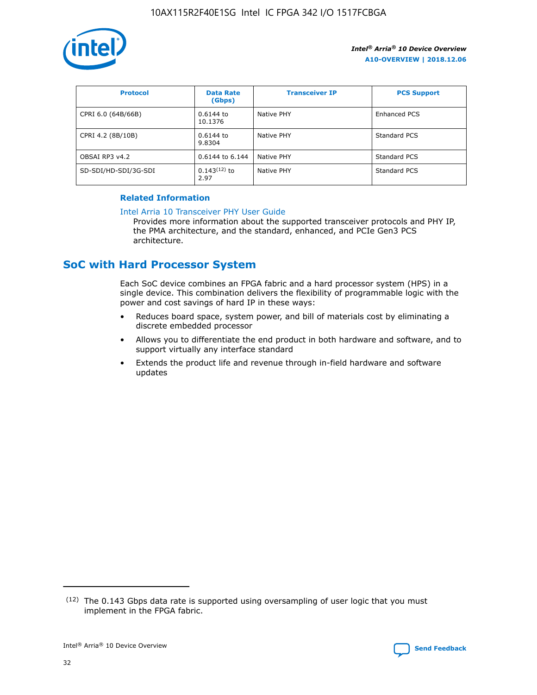

| <b>Protocol</b>      | <b>Data Rate</b><br>(Gbps) | <b>Transceiver IP</b> | <b>PCS Support</b> |
|----------------------|----------------------------|-----------------------|--------------------|
| CPRI 6.0 (64B/66B)   | 0.6144 to<br>10.1376       | Native PHY            | Enhanced PCS       |
| CPRI 4.2 (8B/10B)    | 0.6144 to<br>9.8304        | Native PHY            | Standard PCS       |
| OBSAI RP3 v4.2       | 0.6144 to 6.144            | Native PHY            | Standard PCS       |
| SD-SDI/HD-SDI/3G-SDI | $0.143(12)$ to<br>2.97     | Native PHY            | Standard PCS       |

# **Related Information**

#### [Intel Arria 10 Transceiver PHY User Guide](https://www.intel.com/content/www/us/en/programmable/documentation/nik1398707230472.html#nik1398707091164)

Provides more information about the supported transceiver protocols and PHY IP, the PMA architecture, and the standard, enhanced, and PCIe Gen3 PCS architecture.

# **SoC with Hard Processor System**

Each SoC device combines an FPGA fabric and a hard processor system (HPS) in a single device. This combination delivers the flexibility of programmable logic with the power and cost savings of hard IP in these ways:

- Reduces board space, system power, and bill of materials cost by eliminating a discrete embedded processor
- Allows you to differentiate the end product in both hardware and software, and to support virtually any interface standard
- Extends the product life and revenue through in-field hardware and software updates

<sup>(12)</sup> The 0.143 Gbps data rate is supported using oversampling of user logic that you must implement in the FPGA fabric.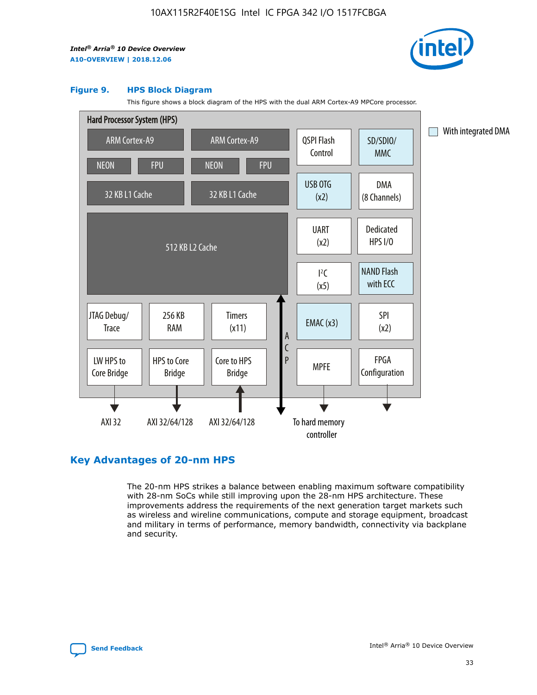

#### **Figure 9. HPS Block Diagram**

This figure shows a block diagram of the HPS with the dual ARM Cortex-A9 MPCore processor.



# **Key Advantages of 20-nm HPS**

The 20-nm HPS strikes a balance between enabling maximum software compatibility with 28-nm SoCs while still improving upon the 28-nm HPS architecture. These improvements address the requirements of the next generation target markets such as wireless and wireline communications, compute and storage equipment, broadcast and military in terms of performance, memory bandwidth, connectivity via backplane and security.

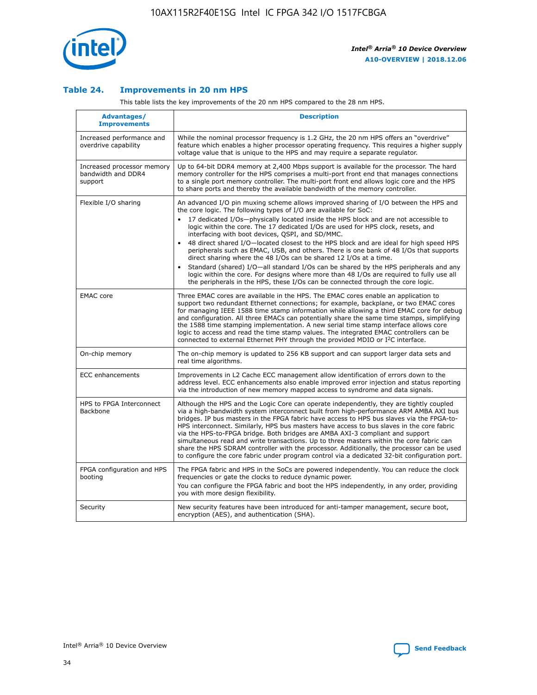

## **Table 24. Improvements in 20 nm HPS**

This table lists the key improvements of the 20 nm HPS compared to the 28 nm HPS.

| Advantages/<br><b>Improvements</b>                          | <b>Description</b>                                                                                                                                                                                                                                                                                                                                                                                                                                                                                                                                                                                                                                                                                                                                                                                                                                                                                                      |
|-------------------------------------------------------------|-------------------------------------------------------------------------------------------------------------------------------------------------------------------------------------------------------------------------------------------------------------------------------------------------------------------------------------------------------------------------------------------------------------------------------------------------------------------------------------------------------------------------------------------------------------------------------------------------------------------------------------------------------------------------------------------------------------------------------------------------------------------------------------------------------------------------------------------------------------------------------------------------------------------------|
| Increased performance and<br>overdrive capability           | While the nominal processor frequency is 1.2 GHz, the 20 nm HPS offers an "overdrive"<br>feature which enables a higher processor operating frequency. This requires a higher supply<br>voltage value that is unique to the HPS and may require a separate regulator.                                                                                                                                                                                                                                                                                                                                                                                                                                                                                                                                                                                                                                                   |
| Increased processor memory<br>bandwidth and DDR4<br>support | Up to 64-bit DDR4 memory at 2,400 Mbps support is available for the processor. The hard<br>memory controller for the HPS comprises a multi-port front end that manages connections<br>to a single port memory controller. The multi-port front end allows logic core and the HPS<br>to share ports and thereby the available bandwidth of the memory controller.                                                                                                                                                                                                                                                                                                                                                                                                                                                                                                                                                        |
| Flexible I/O sharing                                        | An advanced I/O pin muxing scheme allows improved sharing of I/O between the HPS and<br>the core logic. The following types of I/O are available for SoC:<br>17 dedicated I/Os-physically located inside the HPS block and are not accessible to<br>logic within the core. The 17 dedicated I/Os are used for HPS clock, resets, and<br>interfacing with boot devices, QSPI, and SD/MMC.<br>48 direct shared I/O-located closest to the HPS block and are ideal for high speed HPS<br>peripherals such as EMAC, USB, and others. There is one bank of 48 I/Os that supports<br>direct sharing where the 48 I/Os can be shared 12 I/Os at a time.<br>Standard (shared) I/O-all standard I/Os can be shared by the HPS peripherals and any<br>logic within the core. For designs where more than 48 I/Os are reguired to fully use all<br>the peripherals in the HPS, these I/Os can be connected through the core logic. |
| <b>EMAC</b> core                                            | Three EMAC cores are available in the HPS. The EMAC cores enable an application to<br>support two redundant Ethernet connections; for example, backplane, or two EMAC cores<br>for managing IEEE 1588 time stamp information while allowing a third EMAC core for debug<br>and configuration. All three EMACs can potentially share the same time stamps, simplifying<br>the 1588 time stamping implementation. A new serial time stamp interface allows core<br>logic to access and read the time stamp values. The integrated EMAC controllers can be<br>connected to external Ethernet PHY through the provided MDIO or I <sup>2</sup> C interface.                                                                                                                                                                                                                                                                  |
| On-chip memory                                              | The on-chip memory is updated to 256 KB support and can support larger data sets and<br>real time algorithms.                                                                                                                                                                                                                                                                                                                                                                                                                                                                                                                                                                                                                                                                                                                                                                                                           |
| <b>ECC</b> enhancements                                     | Improvements in L2 Cache ECC management allow identification of errors down to the<br>address level. ECC enhancements also enable improved error injection and status reporting<br>via the introduction of new memory mapped access to syndrome and data signals.                                                                                                                                                                                                                                                                                                                                                                                                                                                                                                                                                                                                                                                       |
| HPS to FPGA Interconnect<br>Backbone                        | Although the HPS and the Logic Core can operate independently, they are tightly coupled<br>via a high-bandwidth system interconnect built from high-performance ARM AMBA AXI bus<br>bridges. IP bus masters in the FPGA fabric have access to HPS bus slaves via the FPGA-to-<br>HPS interconnect. Similarly, HPS bus masters have access to bus slaves in the core fabric<br>via the HPS-to-FPGA bridge. Both bridges are AMBA AXI-3 compliant and support<br>simultaneous read and write transactions. Up to three masters within the core fabric can<br>share the HPS SDRAM controller with the processor. Additionally, the processor can be used<br>to configure the core fabric under program control via a dedicated 32-bit configuration port.                                                                                                                                                                  |
| FPGA configuration and HPS<br>booting                       | The FPGA fabric and HPS in the SoCs are powered independently. You can reduce the clock<br>frequencies or gate the clocks to reduce dynamic power.<br>You can configure the FPGA fabric and boot the HPS independently, in any order, providing<br>you with more design flexibility.                                                                                                                                                                                                                                                                                                                                                                                                                                                                                                                                                                                                                                    |
| Security                                                    | New security features have been introduced for anti-tamper management, secure boot,<br>encryption (AES), and authentication (SHA).                                                                                                                                                                                                                                                                                                                                                                                                                                                                                                                                                                                                                                                                                                                                                                                      |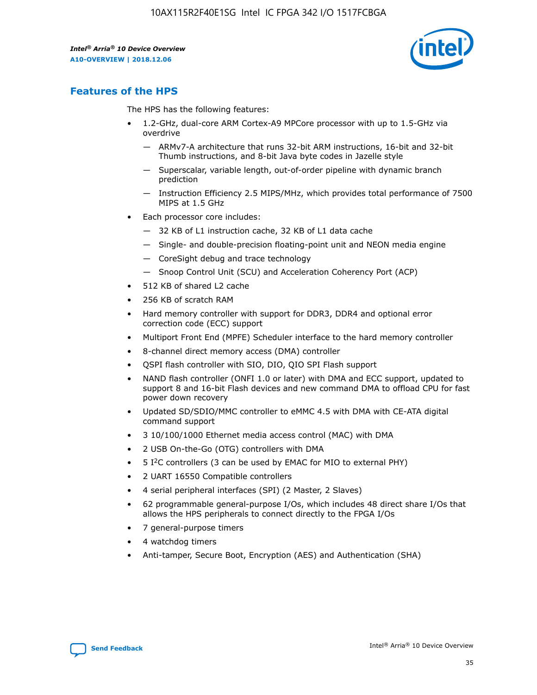

# **Features of the HPS**

The HPS has the following features:

- 1.2-GHz, dual-core ARM Cortex-A9 MPCore processor with up to 1.5-GHz via overdrive
	- ARMv7-A architecture that runs 32-bit ARM instructions, 16-bit and 32-bit Thumb instructions, and 8-bit Java byte codes in Jazelle style
	- Superscalar, variable length, out-of-order pipeline with dynamic branch prediction
	- Instruction Efficiency 2.5 MIPS/MHz, which provides total performance of 7500 MIPS at 1.5 GHz
- Each processor core includes:
	- 32 KB of L1 instruction cache, 32 KB of L1 data cache
	- Single- and double-precision floating-point unit and NEON media engine
	- CoreSight debug and trace technology
	- Snoop Control Unit (SCU) and Acceleration Coherency Port (ACP)
- 512 KB of shared L2 cache
- 256 KB of scratch RAM
- Hard memory controller with support for DDR3, DDR4 and optional error correction code (ECC) support
- Multiport Front End (MPFE) Scheduler interface to the hard memory controller
- 8-channel direct memory access (DMA) controller
- QSPI flash controller with SIO, DIO, QIO SPI Flash support
- NAND flash controller (ONFI 1.0 or later) with DMA and ECC support, updated to support 8 and 16-bit Flash devices and new command DMA to offload CPU for fast power down recovery
- Updated SD/SDIO/MMC controller to eMMC 4.5 with DMA with CE-ATA digital command support
- 3 10/100/1000 Ethernet media access control (MAC) with DMA
- 2 USB On-the-Go (OTG) controllers with DMA
- $\bullet$  5 I<sup>2</sup>C controllers (3 can be used by EMAC for MIO to external PHY)
- 2 UART 16550 Compatible controllers
- 4 serial peripheral interfaces (SPI) (2 Master, 2 Slaves)
- 62 programmable general-purpose I/Os, which includes 48 direct share I/Os that allows the HPS peripherals to connect directly to the FPGA I/Os
- 7 general-purpose timers
- 4 watchdog timers
- Anti-tamper, Secure Boot, Encryption (AES) and Authentication (SHA)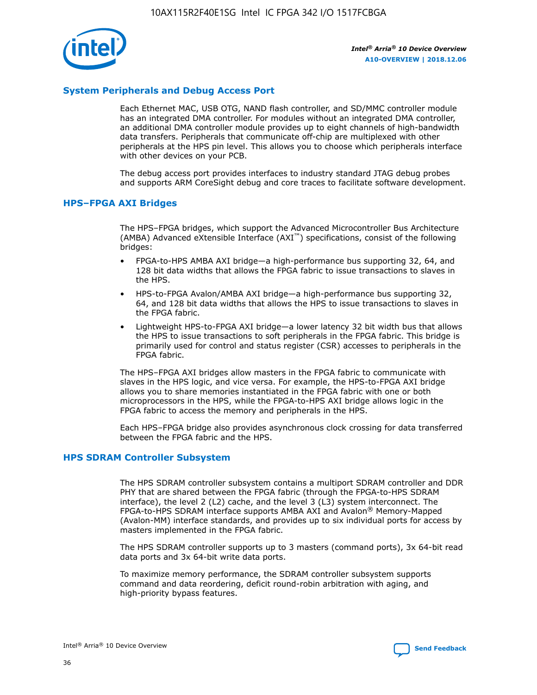

# **System Peripherals and Debug Access Port**

Each Ethernet MAC, USB OTG, NAND flash controller, and SD/MMC controller module has an integrated DMA controller. For modules without an integrated DMA controller, an additional DMA controller module provides up to eight channels of high-bandwidth data transfers. Peripherals that communicate off-chip are multiplexed with other peripherals at the HPS pin level. This allows you to choose which peripherals interface with other devices on your PCB.

The debug access port provides interfaces to industry standard JTAG debug probes and supports ARM CoreSight debug and core traces to facilitate software development.

## **HPS–FPGA AXI Bridges**

The HPS–FPGA bridges, which support the Advanced Microcontroller Bus Architecture (AMBA) Advanced eXtensible Interface (AXI™) specifications, consist of the following bridges:

- FPGA-to-HPS AMBA AXI bridge—a high-performance bus supporting 32, 64, and 128 bit data widths that allows the FPGA fabric to issue transactions to slaves in the HPS.
- HPS-to-FPGA Avalon/AMBA AXI bridge—a high-performance bus supporting 32, 64, and 128 bit data widths that allows the HPS to issue transactions to slaves in the FPGA fabric.
- Lightweight HPS-to-FPGA AXI bridge—a lower latency 32 bit width bus that allows the HPS to issue transactions to soft peripherals in the FPGA fabric. This bridge is primarily used for control and status register (CSR) accesses to peripherals in the FPGA fabric.

The HPS–FPGA AXI bridges allow masters in the FPGA fabric to communicate with slaves in the HPS logic, and vice versa. For example, the HPS-to-FPGA AXI bridge allows you to share memories instantiated in the FPGA fabric with one or both microprocessors in the HPS, while the FPGA-to-HPS AXI bridge allows logic in the FPGA fabric to access the memory and peripherals in the HPS.

Each HPS–FPGA bridge also provides asynchronous clock crossing for data transferred between the FPGA fabric and the HPS.

### **HPS SDRAM Controller Subsystem**

The HPS SDRAM controller subsystem contains a multiport SDRAM controller and DDR PHY that are shared between the FPGA fabric (through the FPGA-to-HPS SDRAM interface), the level 2 (L2) cache, and the level 3 (L3) system interconnect. The FPGA-to-HPS SDRAM interface supports AMBA AXI and Avalon® Memory-Mapped (Avalon-MM) interface standards, and provides up to six individual ports for access by masters implemented in the FPGA fabric.

The HPS SDRAM controller supports up to 3 masters (command ports), 3x 64-bit read data ports and 3x 64-bit write data ports.

To maximize memory performance, the SDRAM controller subsystem supports command and data reordering, deficit round-robin arbitration with aging, and high-priority bypass features.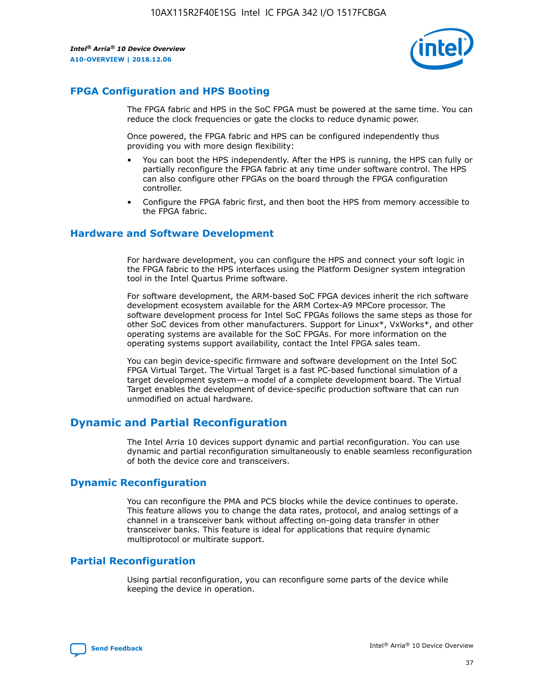

# **FPGA Configuration and HPS Booting**

The FPGA fabric and HPS in the SoC FPGA must be powered at the same time. You can reduce the clock frequencies or gate the clocks to reduce dynamic power.

Once powered, the FPGA fabric and HPS can be configured independently thus providing you with more design flexibility:

- You can boot the HPS independently. After the HPS is running, the HPS can fully or partially reconfigure the FPGA fabric at any time under software control. The HPS can also configure other FPGAs on the board through the FPGA configuration controller.
- Configure the FPGA fabric first, and then boot the HPS from memory accessible to the FPGA fabric.

## **Hardware and Software Development**

For hardware development, you can configure the HPS and connect your soft logic in the FPGA fabric to the HPS interfaces using the Platform Designer system integration tool in the Intel Quartus Prime software.

For software development, the ARM-based SoC FPGA devices inherit the rich software development ecosystem available for the ARM Cortex-A9 MPCore processor. The software development process for Intel SoC FPGAs follows the same steps as those for other SoC devices from other manufacturers. Support for Linux\*, VxWorks\*, and other operating systems are available for the SoC FPGAs. For more information on the operating systems support availability, contact the Intel FPGA sales team.

You can begin device-specific firmware and software development on the Intel SoC FPGA Virtual Target. The Virtual Target is a fast PC-based functional simulation of a target development system—a model of a complete development board. The Virtual Target enables the development of device-specific production software that can run unmodified on actual hardware.

# **Dynamic and Partial Reconfiguration**

The Intel Arria 10 devices support dynamic and partial reconfiguration. You can use dynamic and partial reconfiguration simultaneously to enable seamless reconfiguration of both the device core and transceivers.

# **Dynamic Reconfiguration**

You can reconfigure the PMA and PCS blocks while the device continues to operate. This feature allows you to change the data rates, protocol, and analog settings of a channel in a transceiver bank without affecting on-going data transfer in other transceiver banks. This feature is ideal for applications that require dynamic multiprotocol or multirate support.

# **Partial Reconfiguration**

Using partial reconfiguration, you can reconfigure some parts of the device while keeping the device in operation.

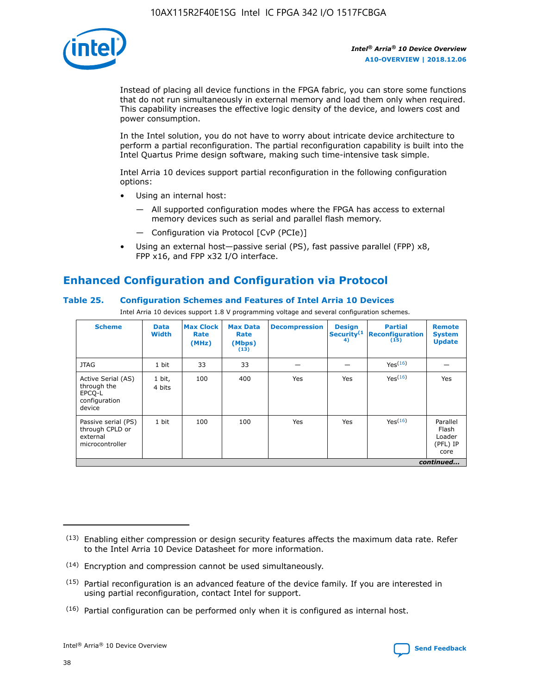

Instead of placing all device functions in the FPGA fabric, you can store some functions that do not run simultaneously in external memory and load them only when required. This capability increases the effective logic density of the device, and lowers cost and power consumption.

In the Intel solution, you do not have to worry about intricate device architecture to perform a partial reconfiguration. The partial reconfiguration capability is built into the Intel Quartus Prime design software, making such time-intensive task simple.

Intel Arria 10 devices support partial reconfiguration in the following configuration options:

- Using an internal host:
	- All supported configuration modes where the FPGA has access to external memory devices such as serial and parallel flash memory.
	- Configuration via Protocol [CvP (PCIe)]
- Using an external host—passive serial (PS), fast passive parallel (FPP) x8, FPP x16, and FPP x32 I/O interface.

# **Enhanced Configuration and Configuration via Protocol**

# **Table 25. Configuration Schemes and Features of Intel Arria 10 Devices**

Intel Arria 10 devices support 1.8 V programming voltage and several configuration schemes.

| <b>Scheme</b>                                                          | <b>Data</b><br><b>Width</b> | <b>Max Clock</b><br>Rate<br>(MHz) | <b>Max Data</b><br>Rate<br>(Mbps)<br>(13) | <b>Decompression</b> | <b>Design</b><br>Security <sup>(1</sup><br>4) | <b>Partial</b><br>Reconfiguration<br>(15) | <b>Remote</b><br><b>System</b><br><b>Update</b> |
|------------------------------------------------------------------------|-----------------------------|-----------------------------------|-------------------------------------------|----------------------|-----------------------------------------------|-------------------------------------------|-------------------------------------------------|
| <b>JTAG</b>                                                            | 1 bit                       | 33                                | 33                                        |                      |                                               | Yes <sup>(16)</sup>                       |                                                 |
| Active Serial (AS)<br>through the<br>EPCO-L<br>configuration<br>device | 1 bit,<br>4 bits            | 100                               | 400                                       | Yes                  | Yes                                           | $Y_{PS}(16)$                              | Yes                                             |
| Passive serial (PS)<br>through CPLD or<br>external<br>microcontroller  | 1 bit                       | 100                               | 100                                       | Yes                  | Yes                                           | Yes(16)                                   | Parallel<br>Flash<br>Loader<br>(PFL) IP<br>core |
|                                                                        |                             |                                   |                                           |                      |                                               |                                           | continued                                       |

<sup>(13)</sup> Enabling either compression or design security features affects the maximum data rate. Refer to the Intel Arria 10 Device Datasheet for more information.

<sup>(14)</sup> Encryption and compression cannot be used simultaneously.

 $(15)$  Partial reconfiguration is an advanced feature of the device family. If you are interested in using partial reconfiguration, contact Intel for support.

 $(16)$  Partial configuration can be performed only when it is configured as internal host.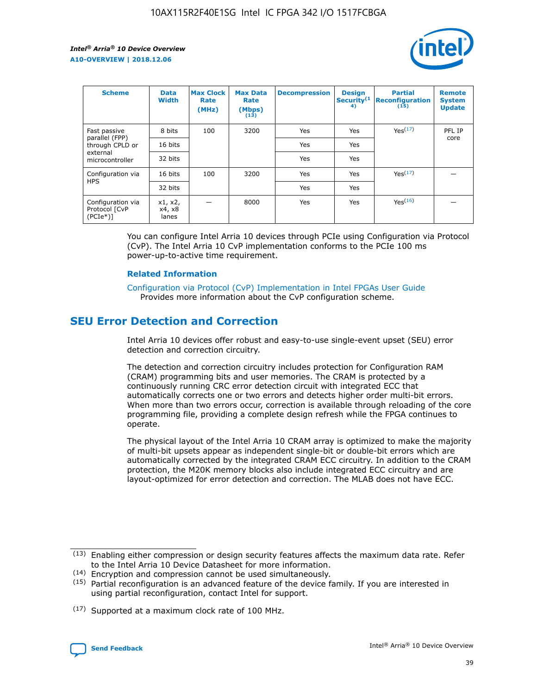

| <b>Scheme</b>                                   | <b>Data</b><br><b>Width</b> | <b>Max Clock</b><br>Rate<br>(MHz) | <b>Max Data</b><br>Rate<br>(Mbps)<br>(13) | <b>Decompression</b> | <b>Design</b><br>Security <sup>(1</sup><br>4) | <b>Partial</b><br><b>Reconfiguration</b><br>(15) | <b>Remote</b><br><b>System</b><br><b>Update</b> |
|-------------------------------------------------|-----------------------------|-----------------------------------|-------------------------------------------|----------------------|-----------------------------------------------|--------------------------------------------------|-------------------------------------------------|
| Fast passive                                    | 8 bits                      | 100                               | 3200                                      | Yes                  | Yes                                           | Yes(17)                                          | PFL IP                                          |
| parallel (FPP)<br>through CPLD or               | 16 bits                     |                                   |                                           | Yes                  | Yes                                           |                                                  | core                                            |
| external<br>microcontroller                     | 32 bits                     |                                   |                                           | Yes                  | Yes                                           |                                                  |                                                 |
| Configuration via                               | 16 bits                     | 100                               | 3200                                      | Yes                  | Yes                                           | Yes <sup>(17)</sup>                              |                                                 |
| <b>HPS</b>                                      | 32 bits                     |                                   |                                           | Yes                  | Yes                                           |                                                  |                                                 |
| Configuration via<br>Protocol [CvP<br>$(PCIe*)$ | x1, x2,<br>x4, x8<br>lanes  |                                   | 8000                                      | Yes                  | Yes                                           | Yes(16)                                          |                                                 |

You can configure Intel Arria 10 devices through PCIe using Configuration via Protocol (CvP). The Intel Arria 10 CvP implementation conforms to the PCIe 100 ms power-up-to-active time requirement.

### **Related Information**

[Configuration via Protocol \(CvP\) Implementation in Intel FPGAs User Guide](https://www.intel.com/content/www/us/en/programmable/documentation/dsu1441819344145.html#dsu1442269728522) Provides more information about the CvP configuration scheme.

# **SEU Error Detection and Correction**

Intel Arria 10 devices offer robust and easy-to-use single-event upset (SEU) error detection and correction circuitry.

The detection and correction circuitry includes protection for Configuration RAM (CRAM) programming bits and user memories. The CRAM is protected by a continuously running CRC error detection circuit with integrated ECC that automatically corrects one or two errors and detects higher order multi-bit errors. When more than two errors occur, correction is available through reloading of the core programming file, providing a complete design refresh while the FPGA continues to operate.

The physical layout of the Intel Arria 10 CRAM array is optimized to make the majority of multi-bit upsets appear as independent single-bit or double-bit errors which are automatically corrected by the integrated CRAM ECC circuitry. In addition to the CRAM protection, the M20K memory blocks also include integrated ECC circuitry and are layout-optimized for error detection and correction. The MLAB does not have ECC.

(14) Encryption and compression cannot be used simultaneously.

<sup>(17)</sup> Supported at a maximum clock rate of 100 MHz.



 $(13)$  Enabling either compression or design security features affects the maximum data rate. Refer to the Intel Arria 10 Device Datasheet for more information.

 $(15)$  Partial reconfiguration is an advanced feature of the device family. If you are interested in using partial reconfiguration, contact Intel for support.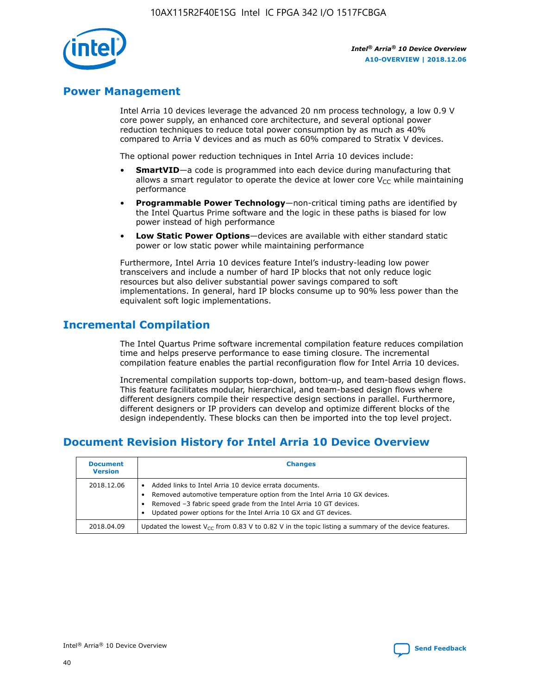

# **Power Management**

Intel Arria 10 devices leverage the advanced 20 nm process technology, a low 0.9 V core power supply, an enhanced core architecture, and several optional power reduction techniques to reduce total power consumption by as much as 40% compared to Arria V devices and as much as 60% compared to Stratix V devices.

The optional power reduction techniques in Intel Arria 10 devices include:

- **SmartVID**—a code is programmed into each device during manufacturing that allows a smart regulator to operate the device at lower core  $V_{CC}$  while maintaining performance
- **Programmable Power Technology**—non-critical timing paths are identified by the Intel Quartus Prime software and the logic in these paths is biased for low power instead of high performance
- **Low Static Power Options**—devices are available with either standard static power or low static power while maintaining performance

Furthermore, Intel Arria 10 devices feature Intel's industry-leading low power transceivers and include a number of hard IP blocks that not only reduce logic resources but also deliver substantial power savings compared to soft implementations. In general, hard IP blocks consume up to 90% less power than the equivalent soft logic implementations.

# **Incremental Compilation**

The Intel Quartus Prime software incremental compilation feature reduces compilation time and helps preserve performance to ease timing closure. The incremental compilation feature enables the partial reconfiguration flow for Intel Arria 10 devices.

Incremental compilation supports top-down, bottom-up, and team-based design flows. This feature facilitates modular, hierarchical, and team-based design flows where different designers compile their respective design sections in parallel. Furthermore, different designers or IP providers can develop and optimize different blocks of the design independently. These blocks can then be imported into the top level project.

# **Document Revision History for Intel Arria 10 Device Overview**

| <b>Document</b><br><b>Version</b> | <b>Changes</b>                                                                                                                                                                                                                                                              |
|-----------------------------------|-----------------------------------------------------------------------------------------------------------------------------------------------------------------------------------------------------------------------------------------------------------------------------|
| 2018.12.06                        | Added links to Intel Arria 10 device errata documents.<br>Removed automotive temperature option from the Intel Arria 10 GX devices.<br>Removed -3 fabric speed grade from the Intel Arria 10 GT devices.<br>Updated power options for the Intel Arria 10 GX and GT devices. |
| 2018.04.09                        | Updated the lowest $V_{CC}$ from 0.83 V to 0.82 V in the topic listing a summary of the device features.                                                                                                                                                                    |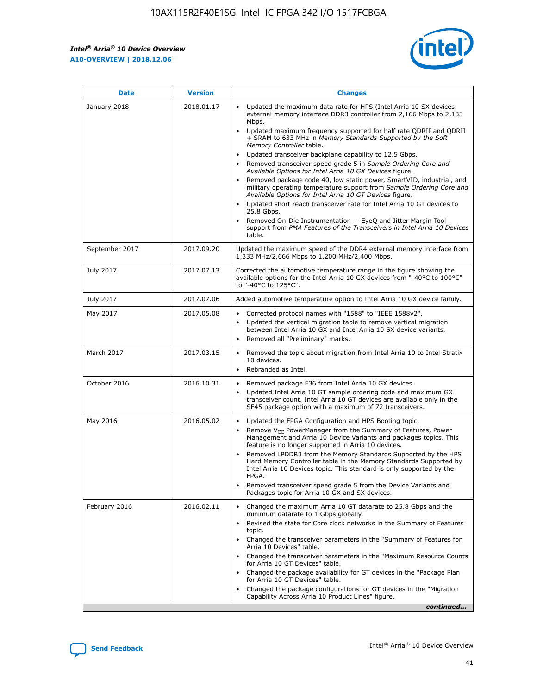$\mathsf{r}$ 



| <b>Date</b>    | <b>Version</b> | <b>Changes</b>                                                                                                                                                                                                                                                                                                                                                                                                                                                                                                                                                                                                                                                                                                                                                                                                                                                                                                                                                                         |
|----------------|----------------|----------------------------------------------------------------------------------------------------------------------------------------------------------------------------------------------------------------------------------------------------------------------------------------------------------------------------------------------------------------------------------------------------------------------------------------------------------------------------------------------------------------------------------------------------------------------------------------------------------------------------------------------------------------------------------------------------------------------------------------------------------------------------------------------------------------------------------------------------------------------------------------------------------------------------------------------------------------------------------------|
| January 2018   | 2018.01.17     | Updated the maximum data rate for HPS (Intel Arria 10 SX devices<br>external memory interface DDR3 controller from 2,166 Mbps to 2,133<br>Mbps.<br>Updated maximum frequency supported for half rate QDRII and QDRII<br>$\bullet$<br>+ SRAM to 633 MHz in Memory Standards Supported by the Soft<br>Memory Controller table.<br>Updated transceiver backplane capability to 12.5 Gbps.<br>$\bullet$<br>Removed transceiver speed grade 5 in Sample Ordering Core and<br>Available Options for Intel Arria 10 GX Devices figure.<br>Removed package code 40, low static power, SmartVID, industrial, and<br>military operating temperature support from Sample Ordering Core and<br>Available Options for Intel Arria 10 GT Devices figure.<br>Updated short reach transceiver rate for Intel Arria 10 GT devices to<br>25.8 Gbps.<br>Removed On-Die Instrumentation - EyeQ and Jitter Margin Tool<br>support from PMA Features of the Transceivers in Intel Arria 10 Devices<br>table. |
| September 2017 | 2017.09.20     | Updated the maximum speed of the DDR4 external memory interface from<br>1,333 MHz/2,666 Mbps to 1,200 MHz/2,400 Mbps.                                                                                                                                                                                                                                                                                                                                                                                                                                                                                                                                                                                                                                                                                                                                                                                                                                                                  |
| July 2017      | 2017.07.13     | Corrected the automotive temperature range in the figure showing the<br>available options for the Intel Arria 10 GX devices from "-40°C to 100°C"<br>to "-40°C to 125°C".                                                                                                                                                                                                                                                                                                                                                                                                                                                                                                                                                                                                                                                                                                                                                                                                              |
| July 2017      | 2017.07.06     | Added automotive temperature option to Intel Arria 10 GX device family.                                                                                                                                                                                                                                                                                                                                                                                                                                                                                                                                                                                                                                                                                                                                                                                                                                                                                                                |
| May 2017       | 2017.05.08     | Corrected protocol names with "1588" to "IEEE 1588v2".<br>$\bullet$<br>Updated the vertical migration table to remove vertical migration<br>$\bullet$<br>between Intel Arria 10 GX and Intel Arria 10 SX device variants.<br>Removed all "Preliminary" marks.<br>$\bullet$                                                                                                                                                                                                                                                                                                                                                                                                                                                                                                                                                                                                                                                                                                             |
| March 2017     | 2017.03.15     | Removed the topic about migration from Intel Arria 10 to Intel Stratix<br>10 devices.<br>Rebranded as Intel.<br>$\bullet$                                                                                                                                                                                                                                                                                                                                                                                                                                                                                                                                                                                                                                                                                                                                                                                                                                                              |
| October 2016   | 2016.10.31     | Removed package F36 from Intel Arria 10 GX devices.<br>Updated Intel Arria 10 GT sample ordering code and maximum GX<br>$\bullet$<br>transceiver count. Intel Arria 10 GT devices are available only in the<br>SF45 package option with a maximum of 72 transceivers.                                                                                                                                                                                                                                                                                                                                                                                                                                                                                                                                                                                                                                                                                                                  |
| May 2016       | 2016.05.02     | Updated the FPGA Configuration and HPS Booting topic.<br>Remove $V_{CC}$ PowerManager from the Summary of Features, Power<br>$\bullet$<br>Management and Arria 10 Device Variants and packages topics. This<br>feature is no longer supported in Arria 10 devices.<br>Removed LPDDR3 from the Memory Standards Supported by the HPS<br>Hard Memory Controller table in the Memory Standards Supported by<br>Intel Arria 10 Devices topic. This standard is only supported by the<br>FPGA.<br>Removed transceiver speed grade 5 from the Device Variants and<br>Packages topic for Arria 10 GX and SX devices.                                                                                                                                                                                                                                                                                                                                                                          |
| February 2016  | 2016.02.11     | Changed the maximum Arria 10 GT datarate to 25.8 Gbps and the<br>minimum datarate to 1 Gbps globally.<br>Revised the state for Core clock networks in the Summary of Features<br>$\bullet$<br>topic.<br>• Changed the transceiver parameters in the "Summary of Features for<br>Arria 10 Devices" table.<br>Changed the transceiver parameters in the "Maximum Resource Counts"<br>$\bullet$<br>for Arria 10 GT Devices" table.<br>• Changed the package availability for GT devices in the "Package Plan<br>for Arria 10 GT Devices" table.<br>Changed the package configurations for GT devices in the "Migration"<br>Capability Across Arria 10 Product Lines" figure.<br>continued                                                                                                                                                                                                                                                                                                 |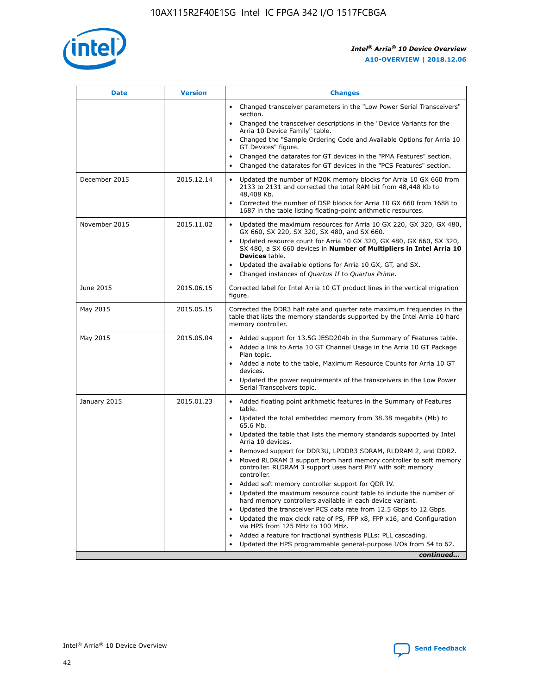

| <b>Date</b>   | <b>Version</b> | <b>Changes</b>                                                                                                                                                               |
|---------------|----------------|------------------------------------------------------------------------------------------------------------------------------------------------------------------------------|
|               |                | • Changed transceiver parameters in the "Low Power Serial Transceivers"<br>section.                                                                                          |
|               |                | • Changed the transceiver descriptions in the "Device Variants for the<br>Arria 10 Device Family" table.                                                                     |
|               |                | Changed the "Sample Ordering Code and Available Options for Arria 10<br>$\bullet$<br>GT Devices" figure.                                                                     |
|               |                | Changed the datarates for GT devices in the "PMA Features" section.                                                                                                          |
|               |                | Changed the datarates for GT devices in the "PCS Features" section.<br>$\bullet$                                                                                             |
| December 2015 | 2015.12.14     | Updated the number of M20K memory blocks for Arria 10 GX 660 from<br>2133 to 2131 and corrected the total RAM bit from 48,448 Kb to<br>48,408 Kb.                            |
|               |                | Corrected the number of DSP blocks for Arria 10 GX 660 from 1688 to<br>1687 in the table listing floating-point arithmetic resources.                                        |
| November 2015 | 2015.11.02     | Updated the maximum resources for Arria 10 GX 220, GX 320, GX 480,<br>$\bullet$<br>GX 660, SX 220, SX 320, SX 480, and SX 660.                                               |
|               |                | • Updated resource count for Arria 10 GX 320, GX 480, GX 660, SX 320,<br>SX 480, a SX 660 devices in Number of Multipliers in Intel Arria 10<br><b>Devices</b> table.        |
|               |                | Updated the available options for Arria 10 GX, GT, and SX.                                                                                                                   |
|               |                | Changed instances of Quartus II to Quartus Prime.<br>$\bullet$                                                                                                               |
| June 2015     | 2015.06.15     | Corrected label for Intel Arria 10 GT product lines in the vertical migration<br>figure.                                                                                     |
| May 2015      | 2015.05.15     | Corrected the DDR3 half rate and quarter rate maximum frequencies in the<br>table that lists the memory standards supported by the Intel Arria 10 hard<br>memory controller. |
| May 2015      | 2015.05.04     | • Added support for 13.5G JESD204b in the Summary of Features table.                                                                                                         |
|               |                | • Added a link to Arria 10 GT Channel Usage in the Arria 10 GT Package<br>Plan topic.                                                                                        |
|               |                | • Added a note to the table, Maximum Resource Counts for Arria 10 GT<br>devices.                                                                                             |
|               |                | • Updated the power requirements of the transceivers in the Low Power<br>Serial Transceivers topic.                                                                          |
| January 2015  | 2015.01.23     | • Added floating point arithmetic features in the Summary of Features<br>table.                                                                                              |
|               |                | • Updated the total embedded memory from 38.38 megabits (Mb) to<br>65.6 Mb.                                                                                                  |
|               |                | • Updated the table that lists the memory standards supported by Intel<br>Arria 10 devices.                                                                                  |
|               |                | Removed support for DDR3U, LPDDR3 SDRAM, RLDRAM 2, and DDR2.                                                                                                                 |
|               |                | Moved RLDRAM 3 support from hard memory controller to soft memory<br>controller. RLDRAM 3 support uses hard PHY with soft memory<br>controller.                              |
|               |                | Added soft memory controller support for QDR IV.<br>٠                                                                                                                        |
|               |                | Updated the maximum resource count table to include the number of<br>hard memory controllers available in each device variant.                                               |
|               |                | Updated the transceiver PCS data rate from 12.5 Gbps to 12 Gbps.<br>$\bullet$                                                                                                |
|               |                | Updated the max clock rate of PS, FPP x8, FPP x16, and Configuration<br>via HPS from 125 MHz to 100 MHz.                                                                     |
|               |                | Added a feature for fractional synthesis PLLs: PLL cascading.                                                                                                                |
|               |                | Updated the HPS programmable general-purpose I/Os from 54 to 62.<br>$\bullet$                                                                                                |
|               |                | continued                                                                                                                                                                    |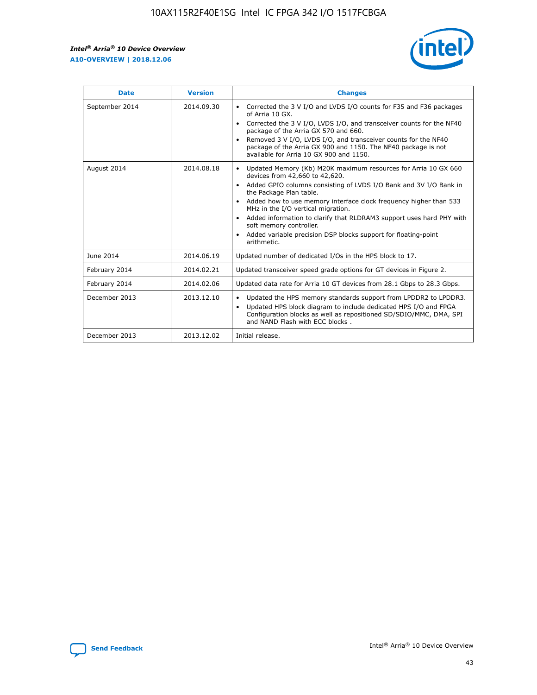

| <b>Date</b>    | <b>Version</b> | <b>Changes</b>                                                                                                                                                                                                                                                                                                                                                                                                                                                                                                                                      |
|----------------|----------------|-----------------------------------------------------------------------------------------------------------------------------------------------------------------------------------------------------------------------------------------------------------------------------------------------------------------------------------------------------------------------------------------------------------------------------------------------------------------------------------------------------------------------------------------------------|
| September 2014 | 2014.09.30     | Corrected the 3 V I/O and LVDS I/O counts for F35 and F36 packages<br>$\bullet$<br>of Arria 10 GX.<br>Corrected the 3 V I/O, LVDS I/O, and transceiver counts for the NF40<br>$\bullet$<br>package of the Arria GX 570 and 660.<br>Removed 3 V I/O, LVDS I/O, and transceiver counts for the NF40<br>$\bullet$<br>package of the Arria GX 900 and 1150. The NF40 package is not<br>available for Arria 10 GX 900 and 1150.                                                                                                                          |
| August 2014    | 2014.08.18     | Updated Memory (Kb) M20K maximum resources for Arria 10 GX 660<br>devices from 42,660 to 42,620.<br>Added GPIO columns consisting of LVDS I/O Bank and 3V I/O Bank in<br>$\bullet$<br>the Package Plan table.<br>Added how to use memory interface clock frequency higher than 533<br>$\bullet$<br>MHz in the I/O vertical migration.<br>Added information to clarify that RLDRAM3 support uses hard PHY with<br>$\bullet$<br>soft memory controller.<br>Added variable precision DSP blocks support for floating-point<br>$\bullet$<br>arithmetic. |
| June 2014      | 2014.06.19     | Updated number of dedicated I/Os in the HPS block to 17.                                                                                                                                                                                                                                                                                                                                                                                                                                                                                            |
| February 2014  | 2014.02.21     | Updated transceiver speed grade options for GT devices in Figure 2.                                                                                                                                                                                                                                                                                                                                                                                                                                                                                 |
| February 2014  | 2014.02.06     | Updated data rate for Arria 10 GT devices from 28.1 Gbps to 28.3 Gbps.                                                                                                                                                                                                                                                                                                                                                                                                                                                                              |
| December 2013  | 2013.12.10     | Updated the HPS memory standards support from LPDDR2 to LPDDR3.<br>Updated HPS block diagram to include dedicated HPS I/O and FPGA<br>$\bullet$<br>Configuration blocks as well as repositioned SD/SDIO/MMC, DMA, SPI<br>and NAND Flash with ECC blocks.                                                                                                                                                                                                                                                                                            |
| December 2013  | 2013.12.02     | Initial release.                                                                                                                                                                                                                                                                                                                                                                                                                                                                                                                                    |